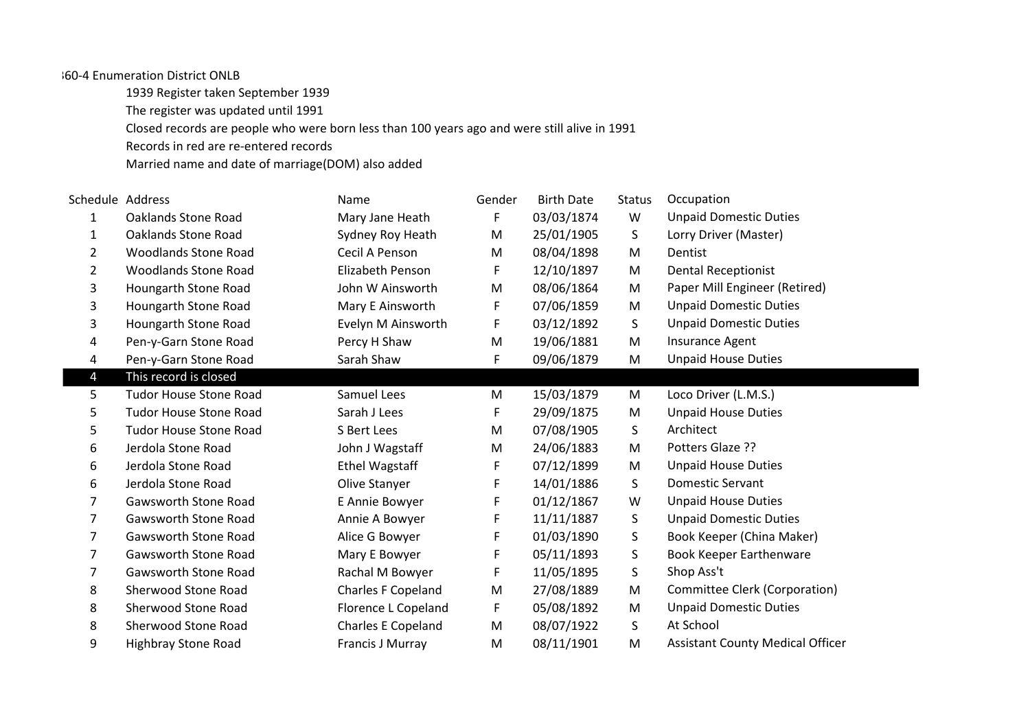## **I60-4 Enumeration District ONLB**

1939 Register taken September 1939

The register was updated until 1991

Closed records are people who were born less than 100 years ago and were still alive in 1991

Records in red are re-entered records

Married name and date of marriage(DOM) also added

| Schedule Address |                               | Name                  | Gender | <b>Birth Date</b> | <b>Status</b> | Occupation                              |
|------------------|-------------------------------|-----------------------|--------|-------------------|---------------|-----------------------------------------|
| 1                | <b>Oaklands Stone Road</b>    | Mary Jane Heath       | F      | 03/03/1874        | W             | <b>Unpaid Domestic Duties</b>           |
| 1                | <b>Oaklands Stone Road</b>    | Sydney Roy Heath      | M      | 25/01/1905        | S             | Lorry Driver (Master)                   |
| $\overline{2}$   | <b>Woodlands Stone Road</b>   | Cecil A Penson        | M      | 08/04/1898        | M             | Dentist                                 |
| 2                | <b>Woodlands Stone Road</b>   | Elizabeth Penson      | F      | 12/10/1897        | M             | <b>Dental Receptionist</b>              |
| 3                | Houngarth Stone Road          | John W Ainsworth      | M      | 08/06/1864        | M             | Paper Mill Engineer (Retired)           |
| 3                | Houngarth Stone Road          | Mary E Ainsworth      | F      | 07/06/1859        | M             | <b>Unpaid Domestic Duties</b>           |
| 3                | Houngarth Stone Road          | Evelyn M Ainsworth    | F      | 03/12/1892        | S             | <b>Unpaid Domestic Duties</b>           |
| 4                | Pen-y-Garn Stone Road         | Percy H Shaw          | M      | 19/06/1881        | M             | Insurance Agent                         |
| 4                | Pen-y-Garn Stone Road         | Sarah Shaw            | F      | 09/06/1879        | M             | <b>Unpaid House Duties</b>              |
| 4                | This record is closed         |                       |        |                   |               |                                         |
| 5                | <b>Tudor House Stone Road</b> | Samuel Lees           | M      | 15/03/1879        | M             | Loco Driver (L.M.S.)                    |
| 5                | <b>Tudor House Stone Road</b> | Sarah J Lees          | F      | 29/09/1875        | M             | <b>Unpaid House Duties</b>              |
| 5                | <b>Tudor House Stone Road</b> | S Bert Lees           | M      | 07/08/1905        | S             | Architect                               |
| 6                | Jerdola Stone Road            | John J Wagstaff       | M      | 24/06/1883        | M             | Potters Glaze ??                        |
| 6                | Jerdola Stone Road            | <b>Ethel Wagstaff</b> | F      | 07/12/1899        | M             | <b>Unpaid House Duties</b>              |
| 6                | Jerdola Stone Road            | Olive Stanyer         | F      | 14/01/1886        | S             | <b>Domestic Servant</b>                 |
| 7                | Gawsworth Stone Road          | E Annie Bowyer        | F      | 01/12/1867        | W             | <b>Unpaid House Duties</b>              |
| 7                | Gawsworth Stone Road          | Annie A Bowyer        | F      | 11/11/1887        | S             | <b>Unpaid Domestic Duties</b>           |
| 7                | <b>Gawsworth Stone Road</b>   | Alice G Bowyer        | F      | 01/03/1890        | S             | Book Keeper (China Maker)               |
| 7                | Gawsworth Stone Road          | Mary E Bowyer         | F      | 05/11/1893        | S             | <b>Book Keeper Earthenware</b>          |
| 7                | Gawsworth Stone Road          | Rachal M Bowyer       | F      | 11/05/1895        | S             | Shop Ass't                              |
| 8                | Sherwood Stone Road           | Charles F Copeland    | M      | 27/08/1889        | M             | Committee Clerk (Corporation)           |
| 8                | Sherwood Stone Road           | Florence L Copeland   | F      | 05/08/1892        | M             | <b>Unpaid Domestic Duties</b>           |
| 8                | Sherwood Stone Road           | Charles E Copeland    | M      | 08/07/1922        | S             | At School                               |
| 9                | <b>Highbray Stone Road</b>    | Francis J Murray      | M      | 08/11/1901        | M             | <b>Assistant County Medical Officer</b> |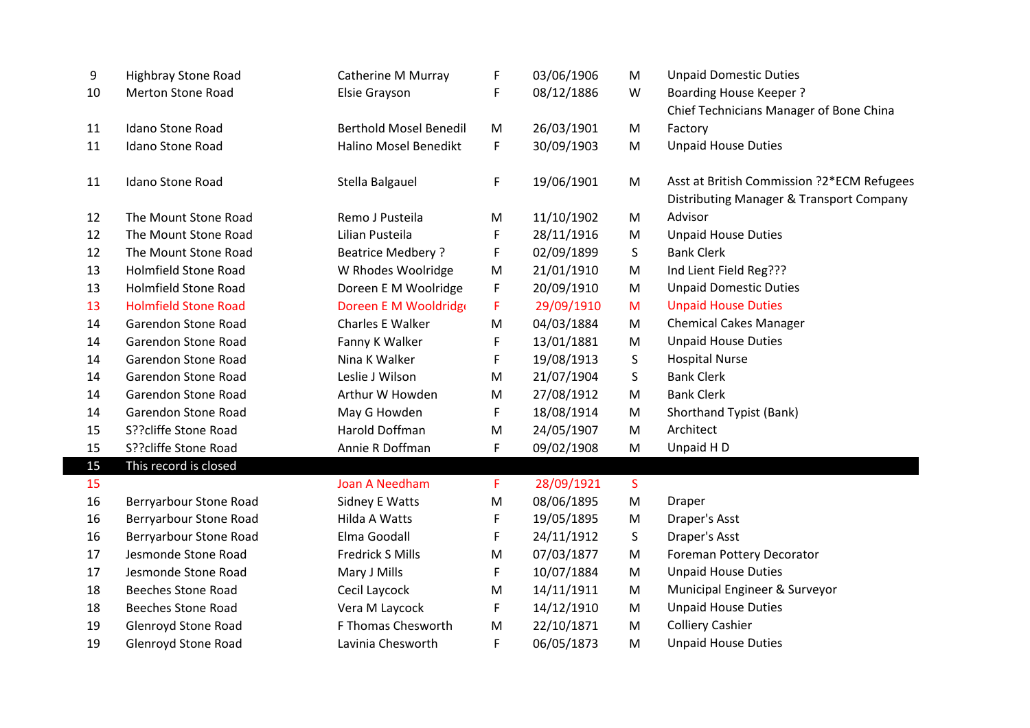| 9  | <b>Highbray Stone Road</b>  | Catherine M Murray            | F | 03/06/1906 | M         | <b>Unpaid Domestic Duties</b>                                                          |
|----|-----------------------------|-------------------------------|---|------------|-----------|----------------------------------------------------------------------------------------|
| 10 | <b>Merton Stone Road</b>    | Elsie Grayson                 | F | 08/12/1886 | W         | <b>Boarding House Keeper?</b>                                                          |
|    |                             |                               |   |            |           | Chief Technicians Manager of Bone China                                                |
| 11 | Idano Stone Road            | <b>Berthold Mosel Benedil</b> | M | 26/03/1901 | M         | Factory                                                                                |
| 11 | <b>Idano Stone Road</b>     | Halino Mosel Benedikt         | F | 30/09/1903 | ${\sf M}$ | <b>Unpaid House Duties</b>                                                             |
| 11 | Idano Stone Road            | Stella Balgauel               | F | 19/06/1901 | M         | Asst at British Commission ?2*ECM Refugees<br>Distributing Manager & Transport Company |
| 12 | The Mount Stone Road        | Remo J Pusteila               | M | 11/10/1902 | M         | Advisor                                                                                |
| 12 | The Mount Stone Road        | Lilian Pusteila               | F | 28/11/1916 | ${\sf M}$ | <b>Unpaid House Duties</b>                                                             |
| 12 | The Mount Stone Road        | <b>Beatrice Medbery?</b>      | F | 02/09/1899 | S         | <b>Bank Clerk</b>                                                                      |
| 13 | <b>Holmfield Stone Road</b> | W Rhodes Woolridge            | M | 21/01/1910 | ${\sf M}$ | Ind Lient Field Reg???                                                                 |
| 13 | <b>Holmfield Stone Road</b> | Doreen E M Woolridge          | F | 20/09/1910 | M         | <b>Unpaid Domestic Duties</b>                                                          |
| 13 | <b>Holmfield Stone Road</b> | Doreen E M Wooldridge         | F | 29/09/1910 | M         | <b>Unpaid House Duties</b>                                                             |
| 14 | <b>Garendon Stone Road</b>  | Charles E Walker              | M | 04/03/1884 | M         | <b>Chemical Cakes Manager</b>                                                          |
| 14 | <b>Garendon Stone Road</b>  | Fanny K Walker                | F | 13/01/1881 | M         | <b>Unpaid House Duties</b>                                                             |
| 14 | <b>Garendon Stone Road</b>  | Nina K Walker                 | F | 19/08/1913 | S         | <b>Hospital Nurse</b>                                                                  |
| 14 | <b>Garendon Stone Road</b>  | Leslie J Wilson               | M | 21/07/1904 | S         | <b>Bank Clerk</b>                                                                      |
| 14 | <b>Garendon Stone Road</b>  | Arthur W Howden               | M | 27/08/1912 | ${\sf M}$ | <b>Bank Clerk</b>                                                                      |
| 14 | <b>Garendon Stone Road</b>  | May G Howden                  | F | 18/08/1914 | M         | Shorthand Typist (Bank)                                                                |
| 15 | S??cliffe Stone Road        | Harold Doffman                | M | 24/05/1907 | ${\sf M}$ | Architect                                                                              |
| 15 | S??cliffe Stone Road        | Annie R Doffman               | F | 09/02/1908 | M         | Unpaid HD                                                                              |
| 15 | This record is closed       |                               |   |            |           |                                                                                        |
| 15 |                             | Joan A Needham                | F | 28/09/1921 | S.        |                                                                                        |
| 16 | Berryarbour Stone Road      | Sidney E Watts                | M | 08/06/1895 | M         | Draper                                                                                 |
| 16 | Berryarbour Stone Road      | Hilda A Watts                 | F | 19/05/1895 | M         | Draper's Asst                                                                          |
| 16 | Berryarbour Stone Road      | Elma Goodall                  | F | 24/11/1912 | S         | Draper's Asst                                                                          |
| 17 | Jesmonde Stone Road         | <b>Fredrick S Mills</b>       | M | 07/03/1877 | M         | Foreman Pottery Decorator                                                              |
| 17 | Jesmonde Stone Road         | Mary J Mills                  | F | 10/07/1884 | M         | <b>Unpaid House Duties</b>                                                             |
| 18 | <b>Beeches Stone Road</b>   | Cecil Laycock                 | M | 14/11/1911 | M         | Municipal Engineer & Surveyor                                                          |
| 18 | <b>Beeches Stone Road</b>   | Vera M Laycock                | F | 14/12/1910 | ${\sf M}$ | <b>Unpaid House Duties</b>                                                             |
| 19 | Glenroyd Stone Road         | F Thomas Chesworth            | M | 22/10/1871 | ${\sf M}$ | <b>Colliery Cashier</b>                                                                |
| 19 | <b>Glenroyd Stone Road</b>  | Lavinia Chesworth             | F | 06/05/1873 | M         | <b>Unpaid House Duties</b>                                                             |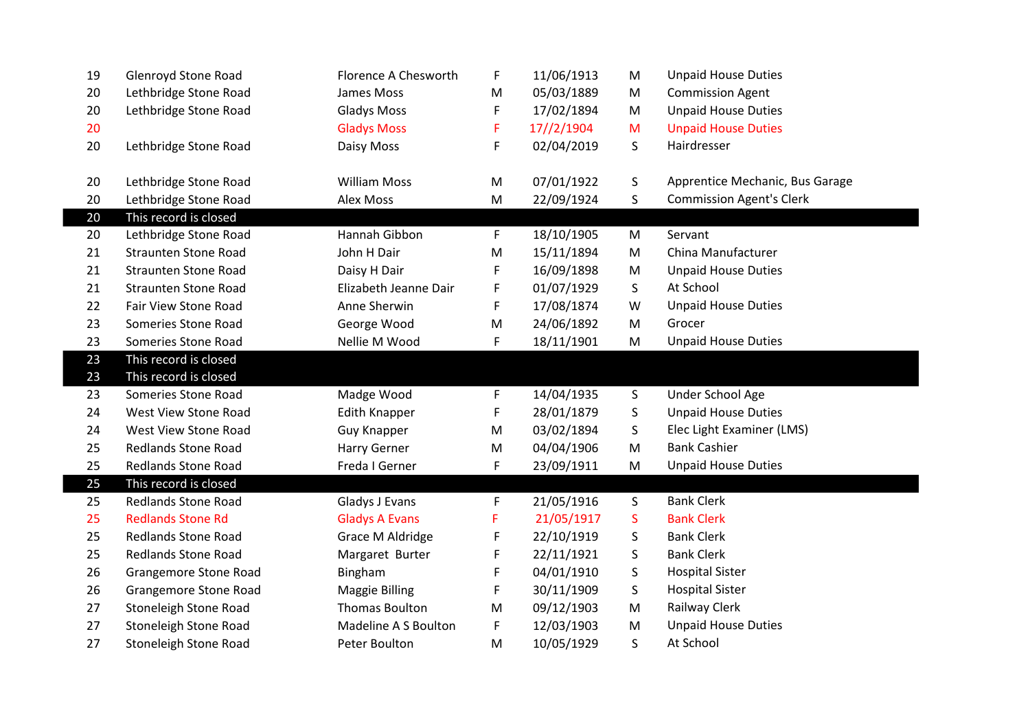| 19 | Glenroyd Stone Road          | Florence A Chesworth  | F  | 11/06/1913 | M           | <b>Unpaid House Duties</b>      |
|----|------------------------------|-----------------------|----|------------|-------------|---------------------------------|
| 20 | Lethbridge Stone Road        | James Moss            | M  | 05/03/1889 | M           | <b>Commission Agent</b>         |
| 20 | Lethbridge Stone Road        | <b>Gladys Moss</b>    | F  | 17/02/1894 | M           | <b>Unpaid House Duties</b>      |
| 20 |                              | <b>Gladys Moss</b>    | F  | 17//2/1904 | M           | <b>Unpaid House Duties</b>      |
| 20 | Lethbridge Stone Road        | Daisy Moss            | F  | 02/04/2019 | S           | Hairdresser                     |
|    |                              |                       |    |            |             |                                 |
| 20 | Lethbridge Stone Road        | <b>William Moss</b>   | M  | 07/01/1922 | S           | Apprentice Mechanic, Bus Garage |
| 20 | Lethbridge Stone Road        | <b>Alex Moss</b>      | M  | 22/09/1924 | S           | <b>Commission Agent's Clerk</b> |
| 20 | This record is closed        |                       |    |            |             |                                 |
| 20 | Lethbridge Stone Road        | Hannah Gibbon         | F. | 18/10/1905 | M           | Servant                         |
| 21 | <b>Straunten Stone Road</b>  | John H Dair           | M  | 15/11/1894 | M           | China Manufacturer              |
| 21 | <b>Straunten Stone Road</b>  | Daisy H Dair          | F  | 16/09/1898 | M           | <b>Unpaid House Duties</b>      |
| 21 | <b>Straunten Stone Road</b>  | Elizabeth Jeanne Dair | F  | 01/07/1929 | S           | At School                       |
| 22 | Fair View Stone Road         | Anne Sherwin          | F  | 17/08/1874 | W           | <b>Unpaid House Duties</b>      |
| 23 | Someries Stone Road          | George Wood           | M  | 24/06/1892 | M           | Grocer                          |
| 23 | Someries Stone Road          | Nellie M Wood         | F  | 18/11/1901 | M           | <b>Unpaid House Duties</b>      |
| 23 | This record is closed        |                       |    |            |             |                                 |
| 23 | This record is closed        |                       |    |            |             |                                 |
| 23 | Someries Stone Road          | Madge Wood            | F. | 14/04/1935 | $\mathsf S$ | Under School Age                |
| 24 | West View Stone Road         | <b>Edith Knapper</b>  | F  | 28/01/1879 | S           | <b>Unpaid House Duties</b>      |
| 24 | West View Stone Road         | Guy Knapper           | M  | 03/02/1894 | S           | Elec Light Examiner (LMS)       |
| 25 | <b>Redlands Stone Road</b>   | Harry Gerner          | M  | 04/04/1906 | M           | <b>Bank Cashier</b>             |
| 25 | <b>Redlands Stone Road</b>   | Freda I Gerner        | F  | 23/09/1911 | M           | <b>Unpaid House Duties</b>      |
| 25 | This record is closed        |                       |    |            |             |                                 |
| 25 | <b>Redlands Stone Road</b>   | Gladys J Evans        | F  | 21/05/1916 | S           | <b>Bank Clerk</b>               |
| 25 | <b>Redlands Stone Rd</b>     | <b>Gladys A Evans</b> | F  | 21/05/1917 | S           | <b>Bank Clerk</b>               |
| 25 | <b>Redlands Stone Road</b>   | Grace M Aldridge      | F  | 22/10/1919 | S           | <b>Bank Clerk</b>               |
| 25 | <b>Redlands Stone Road</b>   | Margaret Burter       | F  | 22/11/1921 | S           | <b>Bank Clerk</b>               |
| 26 | <b>Grangemore Stone Road</b> | Bingham               | F  | 04/01/1910 | $\sf S$     | <b>Hospital Sister</b>          |
| 26 | <b>Grangemore Stone Road</b> | <b>Maggie Billing</b> | F  | 30/11/1909 | S           | <b>Hospital Sister</b>          |
| 27 | Stoneleigh Stone Road        | Thomas Boulton        | M  | 09/12/1903 | M           | Railway Clerk                   |
| 27 | Stoneleigh Stone Road        | Madeline A S Boulton  | F  | 12/03/1903 | M           | <b>Unpaid House Duties</b>      |
| 27 | Stoneleigh Stone Road        | Peter Boulton         | M  | 10/05/1929 | S           | At School                       |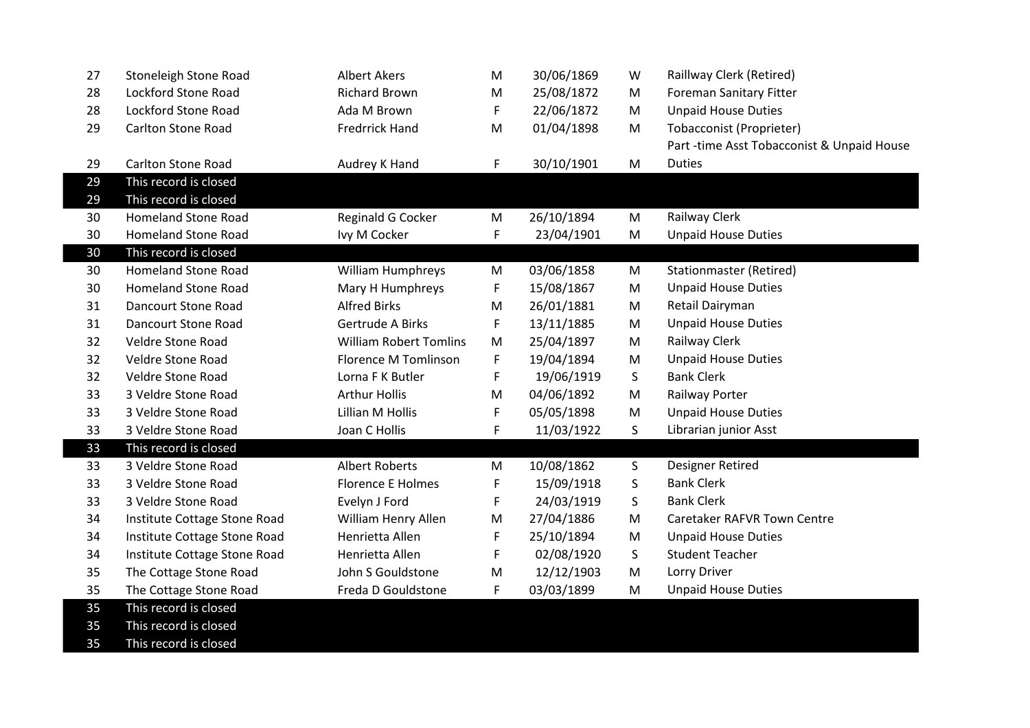| 27 | Stoneleigh Stone Road        | <b>Albert Akers</b>           | M | 30/06/1869 | W           | Raillway Clerk (Retired)                    |
|----|------------------------------|-------------------------------|---|------------|-------------|---------------------------------------------|
| 28 | <b>Lockford Stone Road</b>   | <b>Richard Brown</b>          | M | 25/08/1872 | M           | <b>Foreman Sanitary Fitter</b>              |
| 28 | Lockford Stone Road          | Ada M Brown                   | F | 22/06/1872 | M           | <b>Unpaid House Duties</b>                  |
| 29 | <b>Carlton Stone Road</b>    | <b>Fredrrick Hand</b>         | M | 01/04/1898 | M           | Tobacconist (Proprieter)                    |
|    |                              |                               |   |            |             | Part - time Asst Tobacconist & Unpaid House |
| 29 | <b>Carlton Stone Road</b>    | Audrey K Hand                 | F | 30/10/1901 | M           | <b>Duties</b>                               |
| 29 | This record is closed        |                               |   |            |             |                                             |
| 29 | This record is closed        |                               |   |            |             |                                             |
| 30 | <b>Homeland Stone Road</b>   | Reginald G Cocker             | M | 26/10/1894 | M           | Railway Clerk                               |
| 30 | <b>Homeland Stone Road</b>   | Ivy M Cocker                  | F | 23/04/1901 | M           | <b>Unpaid House Duties</b>                  |
| 30 | This record is closed        |                               |   |            |             |                                             |
| 30 | <b>Homeland Stone Road</b>   | <b>William Humphreys</b>      | M | 03/06/1858 | M           | Stationmaster (Retired)                     |
| 30 | <b>Homeland Stone Road</b>   | Mary H Humphreys              | F | 15/08/1867 | ${\sf M}$   | <b>Unpaid House Duties</b>                  |
| 31 | <b>Dancourt Stone Road</b>   | <b>Alfred Birks</b>           | M | 26/01/1881 | ${\sf M}$   | Retail Dairyman                             |
| 31 | <b>Dancourt Stone Road</b>   | Gertrude A Birks              | F | 13/11/1885 | M           | <b>Unpaid House Duties</b>                  |
| 32 | Veldre Stone Road            | <b>William Robert Tomlins</b> | M | 25/04/1897 | M           | Railway Clerk                               |
| 32 | <b>Veldre Stone Road</b>     | <b>Florence M Tomlinson</b>   | F | 19/04/1894 | ${\sf M}$   | <b>Unpaid House Duties</b>                  |
| 32 | Veldre Stone Road            | Lorna F K Butler              | F | 19/06/1919 | $\mathsf S$ | <b>Bank Clerk</b>                           |
| 33 | 3 Veldre Stone Road          | <b>Arthur Hollis</b>          | M | 04/06/1892 | M           | Railway Porter                              |
| 33 | 3 Veldre Stone Road          | Lillian M Hollis              | F | 05/05/1898 | ${\sf M}$   | <b>Unpaid House Duties</b>                  |
| 33 | 3 Veldre Stone Road          | Joan C Hollis                 | F | 11/03/1922 | S           | Librarian junior Asst                       |
| 33 | This record is closed        |                               |   |            |             |                                             |
| 33 | 3 Veldre Stone Road          | <b>Albert Roberts</b>         | M | 10/08/1862 | S           | Designer Retired                            |
| 33 | 3 Veldre Stone Road          | <b>Florence E Holmes</b>      | F | 15/09/1918 | S           | <b>Bank Clerk</b>                           |
| 33 | 3 Veldre Stone Road          | Evelyn J Ford                 | F | 24/03/1919 | $\sf S$     | <b>Bank Clerk</b>                           |
| 34 | Institute Cottage Stone Road | William Henry Allen           | M | 27/04/1886 | M           | Caretaker RAFVR Town Centre                 |
| 34 | Institute Cottage Stone Road | Henrietta Allen               | F | 25/10/1894 | M           | <b>Unpaid House Duties</b>                  |
| 34 | Institute Cottage Stone Road | Henrietta Allen               | F | 02/08/1920 | S           | <b>Student Teacher</b>                      |
| 35 | The Cottage Stone Road       | John S Gouldstone             | M | 12/12/1903 | M           | Lorry Driver                                |
| 35 | The Cottage Stone Road       | Freda D Gouldstone            | F | 03/03/1899 | M           | <b>Unpaid House Duties</b>                  |
| 35 | This record is closed        |                               |   |            |             |                                             |
| 35 | This record is closed        |                               |   |            |             |                                             |
| 35 | This record is closed        |                               |   |            |             |                                             |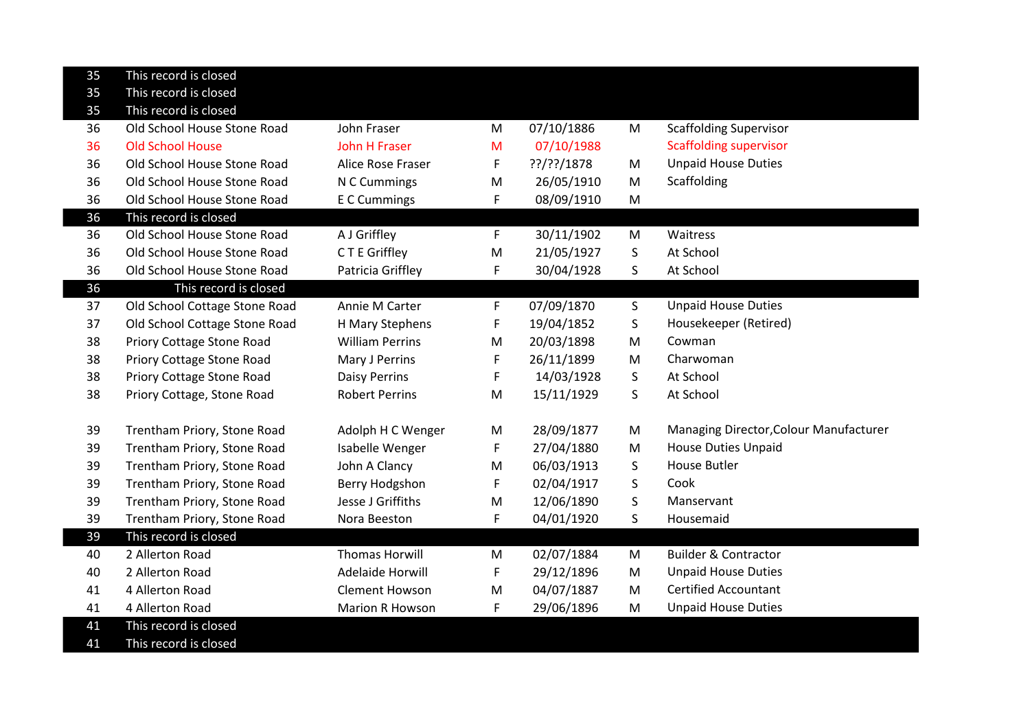| 35 | This record is closed            |                        |             |            |              |                                        |
|----|----------------------------------|------------------------|-------------|------------|--------------|----------------------------------------|
| 35 | This record is closed            |                        |             |            |              |                                        |
| 35 | This record is closed            |                        |             |            |              |                                        |
| 36 | Old School House Stone Road      | John Fraser            | M           | 07/10/1886 | M            | <b>Scaffolding Supervisor</b>          |
| 36 | <b>Old School House</b>          | <b>John H Fraser</b>   | M           | 07/10/1988 |              | <b>Scaffolding supervisor</b>          |
| 36 | Old School House Stone Road      | Alice Rose Fraser      | $\mathsf F$ | ??/??/1878 | M            | <b>Unpaid House Duties</b>             |
| 36 | Old School House Stone Road      | N C Cummings           | M           | 26/05/1910 | M            | Scaffolding                            |
| 36 | Old School House Stone Road      | <b>E C Cummings</b>    | F           | 08/09/1910 | M            |                                        |
| 36 | This record is closed            |                        |             |            |              |                                        |
| 36 | Old School House Stone Road      | A J Griffley           | $\mathsf F$ | 30/11/1902 | M            | Waitress                               |
| 36 | Old School House Stone Road      | C T E Griffley         | M           | 21/05/1927 | $\sf S$      | At School                              |
| 36 | Old School House Stone Road      | Patricia Griffley      | F           | 30/04/1928 | S            | At School                              |
| 36 | This record is closed            |                        |             |            |              |                                        |
| 37 | Old School Cottage Stone Road    | Annie M Carter         | $\mathsf F$ | 07/09/1870 | $\mathsf{S}$ | <b>Unpaid House Duties</b>             |
| 37 | Old School Cottage Stone Road    | H Mary Stephens        | F           | 19/04/1852 | S            | Housekeeper (Retired)                  |
| 38 | Priory Cottage Stone Road        | <b>William Perrins</b> | M           | 20/03/1898 | M            | Cowman                                 |
| 38 | <b>Priory Cottage Stone Road</b> | Mary J Perrins         | F           | 26/11/1899 | M            | Charwoman                              |
| 38 | Priory Cottage Stone Road        | Daisy Perrins          | F           | 14/03/1928 | $\sf S$      | At School                              |
| 38 | Priory Cottage, Stone Road       | <b>Robert Perrins</b>  | M           | 15/11/1929 | S            | At School                              |
|    |                                  |                        |             |            |              |                                        |
| 39 | Trentham Priory, Stone Road      | Adolph H C Wenger      | M           | 28/09/1877 | M            | Managing Director, Colour Manufacturer |
| 39 | Trentham Priory, Stone Road      | Isabelle Wenger        | $\mathsf F$ | 27/04/1880 | M            | <b>House Duties Unpaid</b>             |
| 39 | Trentham Priory, Stone Road      | John A Clancy          | M           | 06/03/1913 | S            | <b>House Butler</b>                    |
| 39 | Trentham Priory, Stone Road      | Berry Hodgshon         | F           | 02/04/1917 | S            | Cook                                   |
| 39 | Trentham Priory, Stone Road      | Jesse J Griffiths      | M           | 12/06/1890 | S            | Manservant                             |
| 39 | Trentham Priory, Stone Road      | Nora Beeston           | F           | 04/01/1920 | S            | Housemaid                              |
| 39 | This record is closed            |                        |             |            |              |                                        |
| 40 | 2 Allerton Road                  | <b>Thomas Horwill</b>  | M           | 02/07/1884 | M            | <b>Builder &amp; Contractor</b>        |
| 40 | 2 Allerton Road                  | Adelaide Horwill       | $\mathsf F$ | 29/12/1896 | M            | <b>Unpaid House Duties</b>             |
| 41 | 4 Allerton Road                  | <b>Clement Howson</b>  | M           | 04/07/1887 | M            | <b>Certified Accountant</b>            |
| 41 | 4 Allerton Road                  | Marion R Howson        | F           | 29/06/1896 | M            | <b>Unpaid House Duties</b>             |
| 41 | This record is closed            |                        |             |            |              |                                        |
| 41 | This record is closed            |                        |             |            |              |                                        |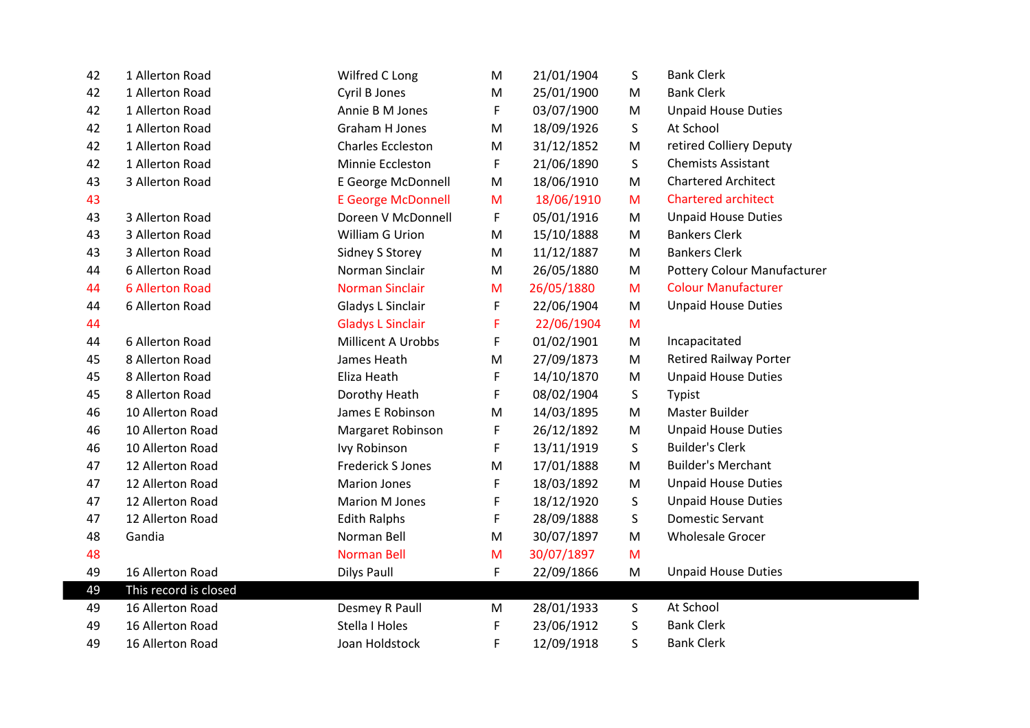| 42 | 1 Allerton Road        | Wilfred C Long            | M | 21/01/1904 | S       | <b>Bank Clerk</b>                  |
|----|------------------------|---------------------------|---|------------|---------|------------------------------------|
| 42 | 1 Allerton Road        | Cyril B Jones             | M | 25/01/1900 | M       | <b>Bank Clerk</b>                  |
| 42 | 1 Allerton Road        | Annie B M Jones           | F | 03/07/1900 | M       | <b>Unpaid House Duties</b>         |
| 42 | 1 Allerton Road        | Graham H Jones            | M | 18/09/1926 | S       | At School                          |
| 42 | 1 Allerton Road        | Charles Eccleston         | M | 31/12/1852 | M       | retired Colliery Deputy            |
| 42 | 1 Allerton Road        | Minnie Eccleston          | F | 21/06/1890 | S       | <b>Chemists Assistant</b>          |
| 43 | 3 Allerton Road        | E George McDonnell        | M | 18/06/1910 | M       | <b>Chartered Architect</b>         |
| 43 |                        | <b>E George McDonnell</b> | M | 18/06/1910 | M       | <b>Chartered architect</b>         |
| 43 | 3 Allerton Road        | Doreen V McDonnell        | F | 05/01/1916 | M       | <b>Unpaid House Duties</b>         |
| 43 | 3 Allerton Road        | William G Urion           | M | 15/10/1888 | M       | <b>Bankers Clerk</b>               |
| 43 | 3 Allerton Road        | Sidney S Storey           | M | 11/12/1887 | M       | <b>Bankers Clerk</b>               |
| 44 | 6 Allerton Road        | Norman Sinclair           | M | 26/05/1880 | M       | <b>Pottery Colour Manufacturer</b> |
| 44 | <b>6 Allerton Road</b> | <b>Norman Sinclair</b>    | M | 26/05/1880 | M       | <b>Colour Manufacturer</b>         |
| 44 | 6 Allerton Road        | Gladys L Sinclair         | F | 22/06/1904 | M       | <b>Unpaid House Duties</b>         |
| 44 |                        | <b>Gladys L Sinclair</b>  | F | 22/06/1904 | M       |                                    |
| 44 | 6 Allerton Road        | <b>Millicent A Urobbs</b> | F | 01/02/1901 | M       | Incapacitated                      |
| 45 | 8 Allerton Road        | James Heath               | M | 27/09/1873 | M       | <b>Retired Railway Porter</b>      |
| 45 | 8 Allerton Road        | Eliza Heath               | F | 14/10/1870 | M       | <b>Unpaid House Duties</b>         |
| 45 | 8 Allerton Road        | Dorothy Heath             | F | 08/02/1904 | S       | Typist                             |
| 46 | 10 Allerton Road       | James E Robinson          | M | 14/03/1895 | M       | Master Builder                     |
| 46 | 10 Allerton Road       | Margaret Robinson         | F | 26/12/1892 | M       | <b>Unpaid House Duties</b>         |
| 46 | 10 Allerton Road       | Ivy Robinson              | F | 13/11/1919 | $\sf S$ | <b>Builder's Clerk</b>             |
| 47 | 12 Allerton Road       | <b>Frederick S Jones</b>  | M | 17/01/1888 | M       | <b>Builder's Merchant</b>          |
| 47 | 12 Allerton Road       | <b>Marion Jones</b>       | F | 18/03/1892 | M       | <b>Unpaid House Duties</b>         |
| 47 | 12 Allerton Road       | <b>Marion M Jones</b>     | F | 18/12/1920 | S       | <b>Unpaid House Duties</b>         |
| 47 | 12 Allerton Road       | <b>Edith Ralphs</b>       | F | 28/09/1888 | $\sf S$ | <b>Domestic Servant</b>            |
| 48 | Gandia                 | Norman Bell               | M | 30/07/1897 | M       | <b>Wholesale Grocer</b>            |
| 48 |                        | <b>Norman Bell</b>        | M | 30/07/1897 | M       |                                    |
| 49 | 16 Allerton Road       | <b>Dilys Paull</b>        | F | 22/09/1866 | M       | <b>Unpaid House Duties</b>         |
| 49 | This record is closed  |                           |   |            |         |                                    |
| 49 | 16 Allerton Road       | Desmey R Paull            | M | 28/01/1933 | S       | At School                          |
| 49 | 16 Allerton Road       | Stella I Holes            | F | 23/06/1912 | S       | <b>Bank Clerk</b>                  |
| 49 | 16 Allerton Road       | Joan Holdstock            | F | 12/09/1918 | S       | <b>Bank Clerk</b>                  |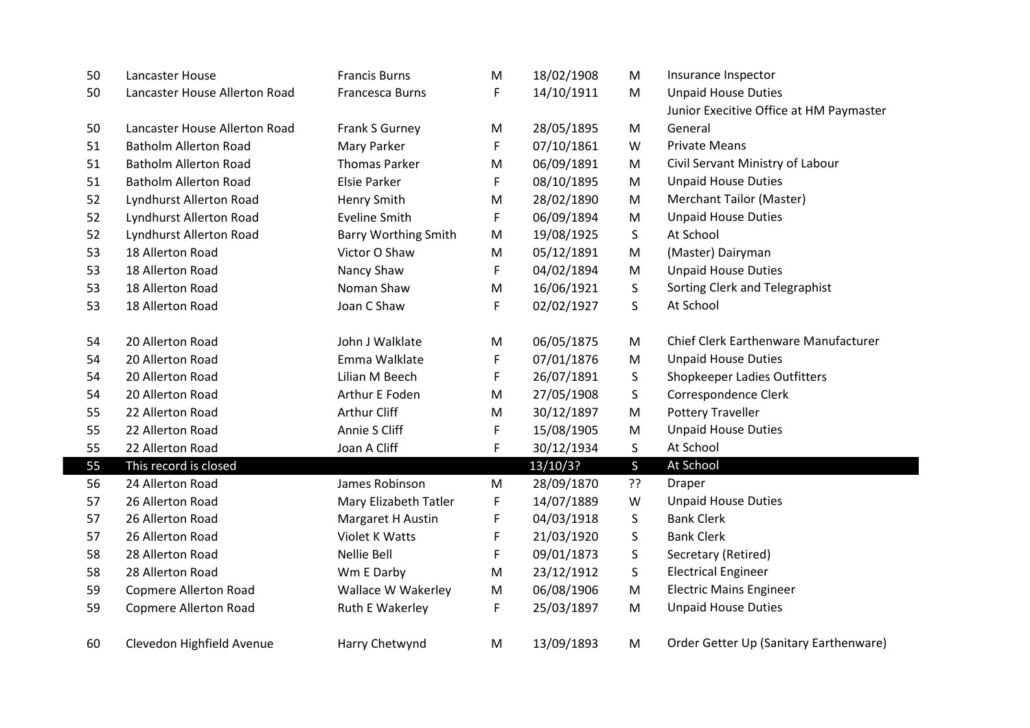| 50 | Lancaster House               | <b>Francis Burns</b>  | M  | 18/02/1908 | M         | Insurance Inspector                     |
|----|-------------------------------|-----------------------|----|------------|-----------|-----------------------------------------|
| 50 | Lancaster House Allerton Road | Francesca Burns       | F. | 14/10/1911 | ${\sf M}$ | <b>Unpaid House Duties</b>              |
|    |                               |                       |    |            |           | Junior Execitive Office at HM Paymaster |
| 50 | Lancaster House Allerton Road | Frank S Gurney        | M  | 28/05/1895 | M         | General                                 |
| 51 | <b>Batholm Allerton Road</b>  | Mary Parker           | F  | 07/10/1861 | W         | <b>Private Means</b>                    |
| 51 | <b>Batholm Allerton Road</b>  | <b>Thomas Parker</b>  | M  | 06/09/1891 | ${\sf M}$ | Civil Servant Ministry of Labour        |
| 51 | <b>Batholm Allerton Road</b>  | <b>Elsie Parker</b>   | F  | 08/10/1895 | M         | <b>Unpaid House Duties</b>              |
| 52 | Lyndhurst Allerton Road       | <b>Henry Smith</b>    | M  | 28/02/1890 | M         | Merchant Tailor (Master)                |
| 52 | Lyndhurst Allerton Road       | <b>Eveline Smith</b>  | F  | 06/09/1894 | M         | <b>Unpaid House Duties</b>              |
| 52 | Lyndhurst Allerton Road       | Barry Worthing Smith  | M  | 19/08/1925 | S         | At School                               |
| 53 | 18 Allerton Road              | Victor O Shaw         | M  | 05/12/1891 | M         | (Master) Dairyman                       |
| 53 | 18 Allerton Road              | Nancy Shaw            | F  | 04/02/1894 | M         | <b>Unpaid House Duties</b>              |
| 53 | 18 Allerton Road              | Noman Shaw            | M  | 16/06/1921 | S         | Sorting Clerk and Telegraphist          |
| 53 | 18 Allerton Road              | Joan C Shaw           | F  | 02/02/1927 | S         | At School                               |
|    |                               |                       |    |            |           |                                         |
| 54 | 20 Allerton Road              | John J Walklate       | M  | 06/05/1875 | M         | Chief Clerk Earthenware Manufacturer    |
| 54 | 20 Allerton Road              | Emma Walklate         | F  | 07/01/1876 | ${\sf M}$ | <b>Unpaid House Duties</b>              |
| 54 | 20 Allerton Road              | Lilian M Beech        | F  | 26/07/1891 | S         | <b>Shopkeeper Ladies Outfitters</b>     |
| 54 | 20 Allerton Road              | Arthur E Foden        | M  | 27/05/1908 | S         | Correspondence Clerk                    |
| 55 | 22 Allerton Road              | Arthur Cliff          | M  | 30/12/1897 | M         | <b>Pottery Traveller</b>                |
| 55 | 22 Allerton Road              | Annie S Cliff         | F  | 15/08/1905 | M         | <b>Unpaid House Duties</b>              |
| 55 | 22 Allerton Road              | Joan A Cliff          | F  | 30/12/1934 | S         | At School                               |
| 55 | This record is closed         |                       |    | 13/10/3?   | S         | At School                               |
| 56 | 24 Allerton Road              | James Robinson        | M  | 28/09/1870 | ??        | <b>Draper</b>                           |
| 57 | 26 Allerton Road              | Mary Elizabeth Tatler | F  | 14/07/1889 | W         | <b>Unpaid House Duties</b>              |
| 57 | 26 Allerton Road              | Margaret H Austin     | F  | 04/03/1918 | S         | <b>Bank Clerk</b>                       |
| 57 | 26 Allerton Road              | Violet K Watts        | F  | 21/03/1920 | S         | <b>Bank Clerk</b>                       |
| 58 | 28 Allerton Road              | <b>Nellie Bell</b>    | F  | 09/01/1873 | S         | Secretary (Retired)                     |
| 58 | 28 Allerton Road              | Wm E Darby            | M  | 23/12/1912 | S         | <b>Electrical Engineer</b>              |
| 59 | <b>Copmere Allerton Road</b>  | Wallace W Wakerley    | M  | 06/08/1906 | ${\sf M}$ | <b>Electric Mains Engineer</b>          |
| 59 | <b>Copmere Allerton Road</b>  | Ruth E Wakerley       | F  | 25/03/1897 | M         | <b>Unpaid House Duties</b>              |
|    |                               |                       |    |            |           |                                         |
| 60 | Clevedon Highfield Avenue     | Harry Chetwynd        | M  | 13/09/1893 | M         | Order Getter Up (Sanitary Earthenware)  |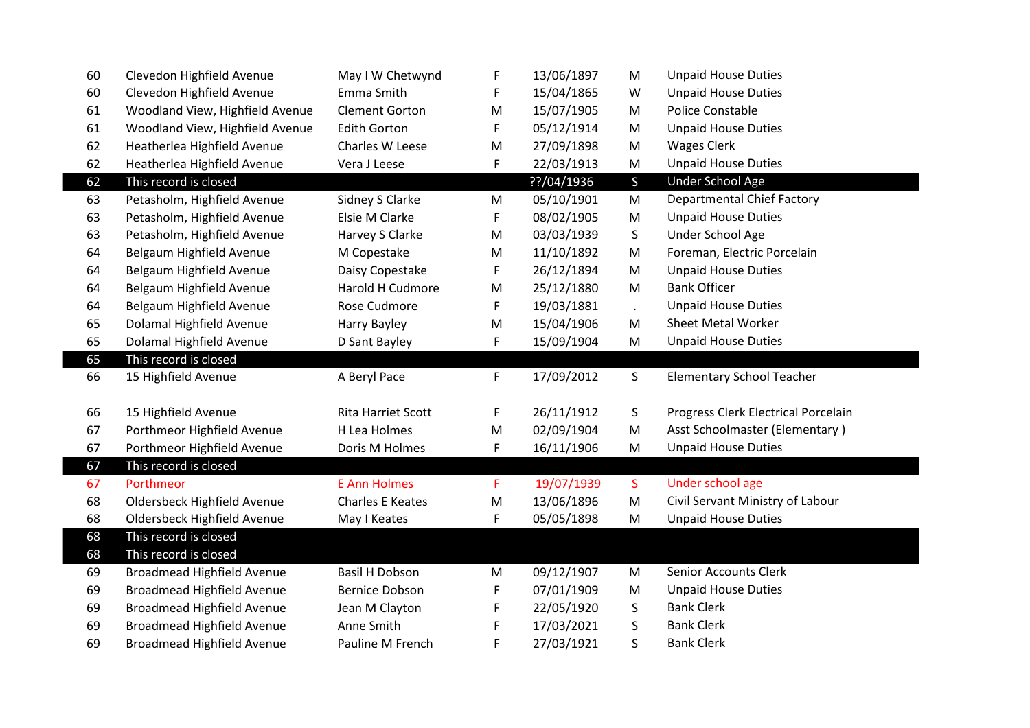| 60 | Clevedon Highfield Avenue         | May I W Chetwynd          | F | 13/06/1897 | M  | <b>Unpaid House Duties</b>          |
|----|-----------------------------------|---------------------------|---|------------|----|-------------------------------------|
| 60 | Clevedon Highfield Avenue         | Emma Smith                | F | 15/04/1865 | W  | <b>Unpaid House Duties</b>          |
| 61 | Woodland View, Highfield Avenue   | <b>Clement Gorton</b>     | M | 15/07/1905 | M  | Police Constable                    |
| 61 | Woodland View, Highfield Avenue   | <b>Edith Gorton</b>       | F | 05/12/1914 | M  | <b>Unpaid House Duties</b>          |
| 62 | Heatherlea Highfield Avenue       | Charles W Leese           | M | 27/09/1898 | M  | <b>Wages Clerk</b>                  |
| 62 | Heatherlea Highfield Avenue       | Vera J Leese              | F | 22/03/1913 | M  | <b>Unpaid House Duties</b>          |
| 62 | This record is closed             |                           |   | ??/04/1936 | S  | Under School Age                    |
| 63 | Petasholm, Highfield Avenue       | Sidney S Clarke           | M | 05/10/1901 | M  | <b>Departmental Chief Factory</b>   |
| 63 | Petasholm, Highfield Avenue       | Elsie M Clarke            | F | 08/02/1905 | M  | <b>Unpaid House Duties</b>          |
| 63 | Petasholm, Highfield Avenue       | Harvey S Clarke           | M | 03/03/1939 | S  | Under School Age                    |
| 64 | Belgaum Highfield Avenue          | M Copestake               | M | 11/10/1892 | M  | Foreman, Electric Porcelain         |
| 64 | Belgaum Highfield Avenue          | Daisy Copestake           | F | 26/12/1894 | M  | <b>Unpaid House Duties</b>          |
| 64 | Belgaum Highfield Avenue          | Harold H Cudmore          | M | 25/12/1880 | M  | <b>Bank Officer</b>                 |
| 64 | Belgaum Highfield Avenue          | Rose Cudmore              | F | 19/03/1881 | ÷. | <b>Unpaid House Duties</b>          |
| 65 | Dolamal Highfield Avenue          | Harry Bayley              | M | 15/04/1906 | M  | <b>Sheet Metal Worker</b>           |
| 65 | Dolamal Highfield Avenue          | D Sant Bayley             | F | 15/09/1904 | M  | <b>Unpaid House Duties</b>          |
|    |                                   |                           |   |            |    |                                     |
| 65 | This record is closed             |                           |   |            |    |                                     |
| 66 | 15 Highfield Avenue               | A Beryl Pace              | F | 17/09/2012 | S  | <b>Elementary School Teacher</b>    |
|    |                                   |                           |   |            |    |                                     |
| 66 | 15 Highfield Avenue               | <b>Rita Harriet Scott</b> | F | 26/11/1912 | S  | Progress Clerk Electrical Porcelain |
| 67 | Porthmeor Highfield Avenue        | H Lea Holmes              | M | 02/09/1904 | M  | Asst Schoolmaster (Elementary)      |
| 67 | Porthmeor Highfield Avenue        | Doris M Holmes            | F | 16/11/1906 | M  | <b>Unpaid House Duties</b>          |
| 67 | This record is closed             |                           |   |            |    |                                     |
| 67 | Porthmeor                         | <b>E Ann Holmes</b>       | F | 19/07/1939 | S  | Under school age                    |
| 68 | Oldersbeck Highfield Avenue       | <b>Charles E Keates</b>   | M | 13/06/1896 | M  | Civil Servant Ministry of Labour    |
| 68 | Oldersbeck Highfield Avenue       | May I Keates              | F | 05/05/1898 | M  | <b>Unpaid House Duties</b>          |
| 68 | This record is closed             |                           |   |            |    |                                     |
| 68 | This record is closed             |                           |   |            |    |                                     |
| 69 | Broadmead Highfield Avenue        | <b>Basil H Dobson</b>     | M | 09/12/1907 | M  | <b>Senior Accounts Clerk</b>        |
| 69 | Broadmead Highfield Avenue        | <b>Bernice Dobson</b>     | F | 07/01/1909 | M  | <b>Unpaid House Duties</b>          |
| 69 | <b>Broadmead Highfield Avenue</b> | Jean M Clayton            | F | 22/05/1920 | S  | <b>Bank Clerk</b>                   |
| 69 | Broadmead Highfield Avenue        | Anne Smith                | F | 17/03/2021 | S  | <b>Bank Clerk</b>                   |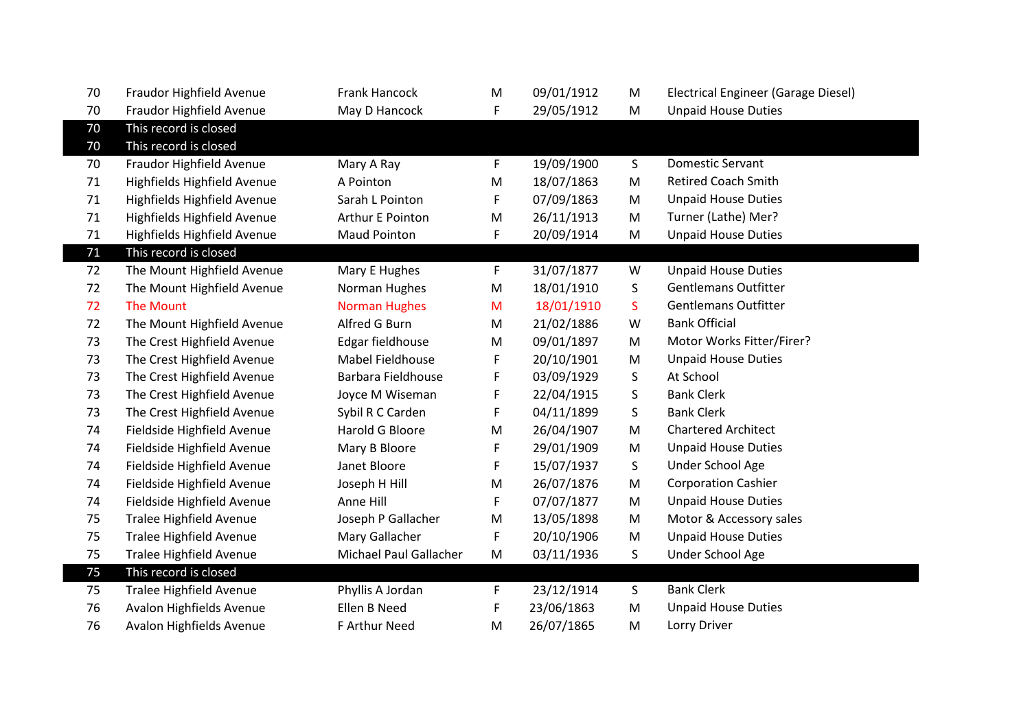| 70 | Fraudor Highfield Avenue    | <b>Frank Hancock</b>    | M           | 09/01/1912 | M           | Electrical Engineer (Garage Diesel) |
|----|-----------------------------|-------------------------|-------------|------------|-------------|-------------------------------------|
| 70 | Fraudor Highfield Avenue    | May D Hancock           | F           | 29/05/1912 | M           | <b>Unpaid House Duties</b>          |
| 70 | This record is closed       |                         |             |            |             |                                     |
| 70 | This record is closed       |                         |             |            |             |                                     |
| 70 | Fraudor Highfield Avenue    | Mary A Ray              | $\mathsf F$ | 19/09/1900 | $\mathsf S$ | <b>Domestic Servant</b>             |
| 71 | Highfields Highfield Avenue | A Pointon               | M           | 18/07/1863 | M           | <b>Retired Coach Smith</b>          |
| 71 | Highfields Highfield Avenue | Sarah L Pointon         | F           | 07/09/1863 | M           | <b>Unpaid House Duties</b>          |
| 71 | Highfields Highfield Avenue | Arthur E Pointon        | M           | 26/11/1913 | M           | Turner (Lathe) Mer?                 |
| 71 | Highfields Highfield Avenue | <b>Maud Pointon</b>     | F           | 20/09/1914 | M           | <b>Unpaid House Duties</b>          |
| 71 | This record is closed       |                         |             |            |             |                                     |
| 72 | The Mount Highfield Avenue  | Mary E Hughes           | F           | 31/07/1877 | W           | <b>Unpaid House Duties</b>          |
| 72 | The Mount Highfield Avenue  | Norman Hughes           | M           | 18/01/1910 | S           | <b>Gentlemans Outfitter</b>         |
| 72 | <b>The Mount</b>            | <b>Norman Hughes</b>    | M           | 18/01/1910 | S.          | <b>Gentlemans Outfitter</b>         |
| 72 | The Mount Highfield Avenue  | Alfred G Burn           | M           | 21/02/1886 | W           | <b>Bank Official</b>                |
| 73 | The Crest Highfield Avenue  | Edgar fieldhouse        | M           | 09/01/1897 | M           | Motor Works Fitter/Firer?           |
| 73 | The Crest Highfield Avenue  | <b>Mabel Fieldhouse</b> | F           | 20/10/1901 | M           | <b>Unpaid House Duties</b>          |
| 73 | The Crest Highfield Avenue  | Barbara Fieldhouse      | F           | 03/09/1929 | S           | At School                           |
| 73 | The Crest Highfield Avenue  | Joyce M Wiseman         | F           | 22/04/1915 | S           | <b>Bank Clerk</b>                   |
| 73 | The Crest Highfield Avenue  | Sybil R C Carden        | F           | 04/11/1899 | S.          | <b>Bank Clerk</b>                   |
| 74 | Fieldside Highfield Avenue  | Harold G Bloore         | M           | 26/04/1907 | M           | <b>Chartered Architect</b>          |
| 74 | Fieldside Highfield Avenue  | Mary B Bloore           | F           | 29/01/1909 | M           | <b>Unpaid House Duties</b>          |
| 74 | Fieldside Highfield Avenue  | Janet Bloore            | F           | 15/07/1937 | S           | Under School Age                    |
| 74 | Fieldside Highfield Avenue  | Joseph H Hill           | M           | 26/07/1876 | M           | <b>Corporation Cashier</b>          |
| 74 | Fieldside Highfield Avenue  | Anne Hill               | F           | 07/07/1877 | M           | <b>Unpaid House Duties</b>          |
| 75 | Tralee Highfield Avenue     | Joseph P Gallacher      | M           | 13/05/1898 | M           | Motor & Accessory sales             |
| 75 | Tralee Highfield Avenue     | Mary Gallacher          | $\mathsf F$ | 20/10/1906 | M           | <b>Unpaid House Duties</b>          |
| 75 | Tralee Highfield Avenue     | Michael Paul Gallacher  | M           | 03/11/1936 | S           | Under School Age                    |
| 75 | This record is closed       |                         |             |            |             |                                     |
| 75 | Tralee Highfield Avenue     | Phyllis A Jordan        | F           | 23/12/1914 | S           | <b>Bank Clerk</b>                   |
| 76 | Avalon Highfields Avenue    | Ellen B Need            | F           | 23/06/1863 | M           | <b>Unpaid House Duties</b>          |
| 76 | Avalon Highfields Avenue    | F Arthur Need           | M           | 26/07/1865 | M           | Lorry Driver                        |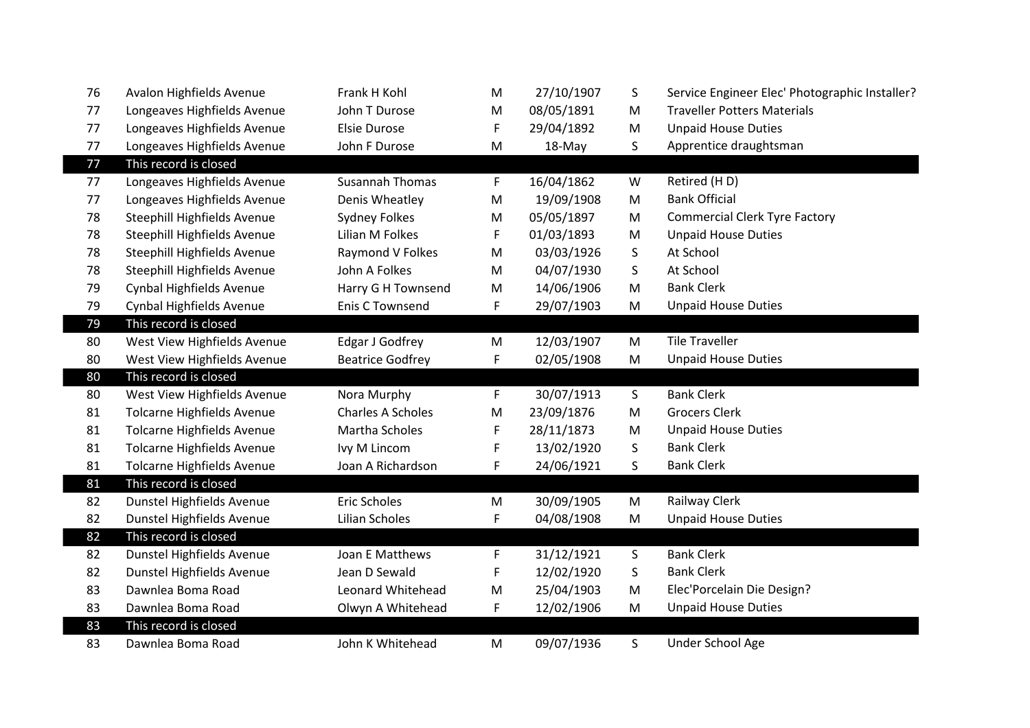| 76 | Avalon Highfields Avenue          | Frank H Kohl             | M         | 27/10/1907 | S            | Service Engineer Elec' Photographic Installer? |
|----|-----------------------------------|--------------------------|-----------|------------|--------------|------------------------------------------------|
| 77 | Longeaves Highfields Avenue       | John T Durose            | M         | 08/05/1891 | M            | <b>Traveller Potters Materials</b>             |
| 77 | Longeaves Highfields Avenue       | <b>Elsie Durose</b>      | F         | 29/04/1892 | M            | <b>Unpaid House Duties</b>                     |
| 77 | Longeaves Highfields Avenue       | John F Durose            | M         | 18-May     | S            | Apprentice draughtsman                         |
| 77 | This record is closed             |                          |           |            |              |                                                |
| 77 | Longeaves Highfields Avenue       | <b>Susannah Thomas</b>   | F         | 16/04/1862 | W            | Retired (HD)                                   |
| 77 | Longeaves Highfields Avenue       | Denis Wheatley           | M         | 19/09/1908 | M            | <b>Bank Official</b>                           |
| 78 | Steephill Highfields Avenue       | Sydney Folkes            | M         | 05/05/1897 | M            | <b>Commercial Clerk Tyre Factory</b>           |
| 78 | Steephill Highfields Avenue       | Lilian M Folkes          | F         | 01/03/1893 | M            | <b>Unpaid House Duties</b>                     |
| 78 | Steephill Highfields Avenue       | Raymond V Folkes         | M         | 03/03/1926 | S            | At School                                      |
| 78 | Steephill Highfields Avenue       | John A Folkes            | ${\sf M}$ | 04/07/1930 | S            | At School                                      |
| 79 | Cynbal Highfields Avenue          | Harry G H Townsend       | M         | 14/06/1906 | M            | <b>Bank Clerk</b>                              |
| 79 | Cynbal Highfields Avenue          | Enis C Townsend          | F         | 29/07/1903 | M            | <b>Unpaid House Duties</b>                     |
| 79 | This record is closed             |                          |           |            |              |                                                |
| 80 | West View Highfields Avenue       | <b>Edgar J Godfrey</b>   | M         | 12/03/1907 | M            | <b>Tile Traveller</b>                          |
| 80 | West View Highfields Avenue       | <b>Beatrice Godfrey</b>  | F         | 02/05/1908 | M            | <b>Unpaid House Duties</b>                     |
| 80 | This record is closed             |                          |           |            |              |                                                |
| 80 | West View Highfields Avenue       | Nora Murphy              | F         | 30/07/1913 | S            | <b>Bank Clerk</b>                              |
| 81 | <b>Tolcarne Highfields Avenue</b> | <b>Charles A Scholes</b> | M         | 23/09/1876 | M            | <b>Grocers Clerk</b>                           |
| 81 | <b>Tolcarne Highfields Avenue</b> | Martha Scholes           | F         | 28/11/1873 | M            | <b>Unpaid House Duties</b>                     |
| 81 | Tolcarne Highfields Avenue        | Ivy M Lincom             | F         | 13/02/1920 | S            | <b>Bank Clerk</b>                              |
| 81 | <b>Tolcarne Highfields Avenue</b> | Joan A Richardson        | F         | 24/06/1921 | S            | <b>Bank Clerk</b>                              |
| 81 | This record is closed             |                          |           |            |              |                                                |
| 82 | Dunstel Highfields Avenue         | <b>Eric Scholes</b>      | M         | 30/09/1905 | M            | Railway Clerk                                  |
| 82 | Dunstel Highfields Avenue         | Lilian Scholes           | F         | 04/08/1908 | M            | <b>Unpaid House Duties</b>                     |
| 82 | This record is closed             |                          |           |            |              |                                                |
| 82 | Dunstel Highfields Avenue         | Joan E Matthews          | F         | 31/12/1921 | $\mathsf{S}$ | <b>Bank Clerk</b>                              |
| 82 | Dunstel Highfields Avenue         | Jean D Sewald            | F         | 12/02/1920 | S            | <b>Bank Clerk</b>                              |
| 83 | Dawnlea Boma Road                 | Leonard Whitehead        | M         | 25/04/1903 | M            | Elec'Porcelain Die Design?                     |
| 83 | Dawnlea Boma Road                 | Olwyn A Whitehead        | F         | 12/02/1906 | M            | <b>Unpaid House Duties</b>                     |
| 83 | This record is closed             |                          |           |            |              |                                                |
| 83 | Dawnlea Boma Road                 | John K Whitehead         | M         | 09/07/1936 | S.           | Under School Age                               |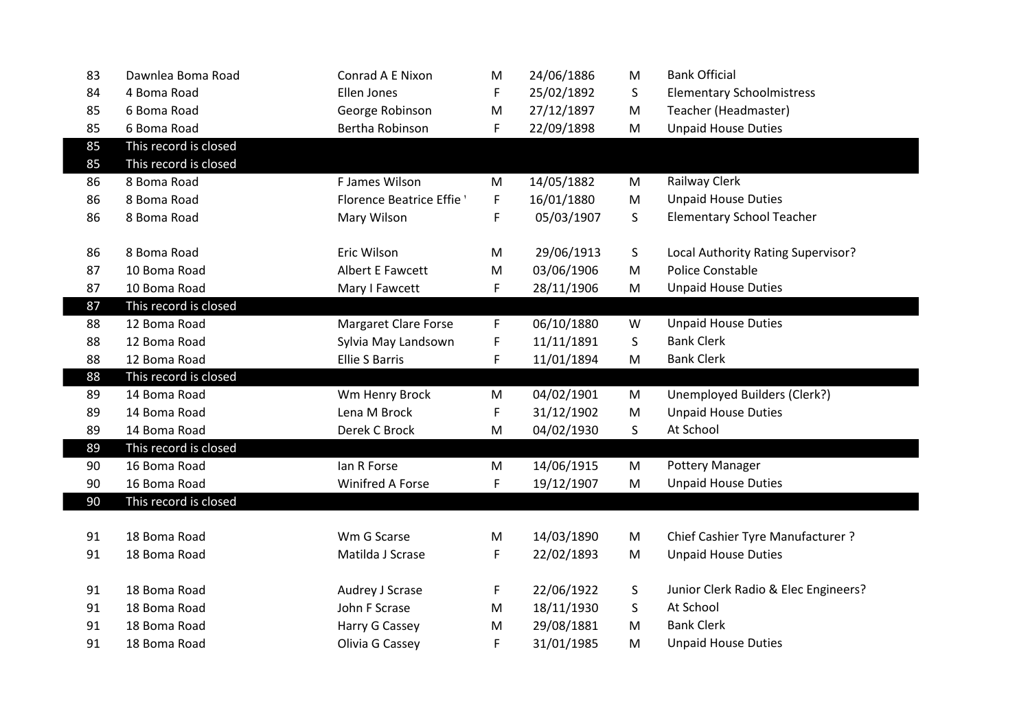| 83 | Dawnlea Boma Road     | Conrad A E Nixon               | M           | 24/06/1886 | ${\sf M}$    | <b>Bank Official</b>                 |
|----|-----------------------|--------------------------------|-------------|------------|--------------|--------------------------------------|
| 84 | 4 Boma Road           | Ellen Jones                    | F           | 25/02/1892 | S            | <b>Elementary Schoolmistress</b>     |
| 85 | 6 Boma Road           | George Robinson                | M           | 27/12/1897 | M            | Teacher (Headmaster)                 |
| 85 | 6 Boma Road           | Bertha Robinson                | F           | 22/09/1898 | M            | <b>Unpaid House Duties</b>           |
| 85 | This record is closed |                                |             |            |              |                                      |
| 85 | This record is closed |                                |             |            |              |                                      |
| 86 | 8 Boma Road           | F James Wilson                 | M           | 14/05/1882 | M            | Railway Clerk                        |
| 86 | 8 Boma Road           | <b>Florence Beatrice Effie</b> | $\mathsf F$ | 16/01/1880 | ${\sf M}$    | <b>Unpaid House Duties</b>           |
| 86 | 8 Boma Road           | Mary Wilson                    | F           | 05/03/1907 | $\mathsf{S}$ | <b>Elementary School Teacher</b>     |
|    |                       |                                |             |            |              |                                      |
| 86 | 8 Boma Road           | Eric Wilson                    | M           | 29/06/1913 | S            | Local Authority Rating Supervisor?   |
| 87 | 10 Boma Road          | Albert E Fawcett               | M           | 03/06/1906 | M            | <b>Police Constable</b>              |
| 87 | 10 Boma Road          | Mary I Fawcett                 | F           | 28/11/1906 | M            | <b>Unpaid House Duties</b>           |
| 87 | This record is closed |                                |             |            |              |                                      |
| 88 | 12 Boma Road          | <b>Margaret Clare Forse</b>    | F           | 06/10/1880 | W            | <b>Unpaid House Duties</b>           |
| 88 | 12 Boma Road          | Sylvia May Landsown            | F           | 11/11/1891 | S            | <b>Bank Clerk</b>                    |
| 88 | 12 Boma Road          | <b>Ellie S Barris</b>          | F           | 11/01/1894 | M            | <b>Bank Clerk</b>                    |
| 88 | This record is closed |                                |             |            |              |                                      |
| 89 | 14 Boma Road          | Wm Henry Brock                 | M           | 04/02/1901 | M            | Unemployed Builders (Clerk?)         |
| 89 | 14 Boma Road          | Lena M Brock                   | $\mathsf F$ | 31/12/1902 | M            | <b>Unpaid House Duties</b>           |
| 89 | 14 Boma Road          | Derek C Brock                  | M           | 04/02/1930 | S            | At School                            |
| 89 | This record is closed |                                |             |            |              |                                      |
| 90 | 16 Boma Road          | lan R Forse                    | M           | 14/06/1915 | M            | <b>Pottery Manager</b>               |
| 90 | 16 Boma Road          | Winifred A Forse               | F           | 19/12/1907 | ${\sf M}$    | <b>Unpaid House Duties</b>           |
| 90 | This record is closed |                                |             |            |              |                                      |
|    |                       |                                |             |            |              |                                      |
| 91 | 18 Boma Road          | Wm G Scarse                    | M           | 14/03/1890 | M            | Chief Cashier Tyre Manufacturer ?    |
| 91 | 18 Boma Road          | Matilda J Scrase               | F           | 22/02/1893 | M            | <b>Unpaid House Duties</b>           |
|    |                       |                                |             |            |              |                                      |
| 91 | 18 Boma Road          | Audrey J Scrase                | F           | 22/06/1922 | S            | Junior Clerk Radio & Elec Engineers? |
| 91 | 18 Boma Road          | John F Scrase                  | ${\sf M}$   | 18/11/1930 | S            | At School                            |
| 91 | 18 Boma Road          | Harry G Cassey                 | M           | 29/08/1881 | M            | <b>Bank Clerk</b>                    |
| 91 | 18 Boma Road          | Olivia G Cassey                | F           | 31/01/1985 | M            | <b>Unpaid House Duties</b>           |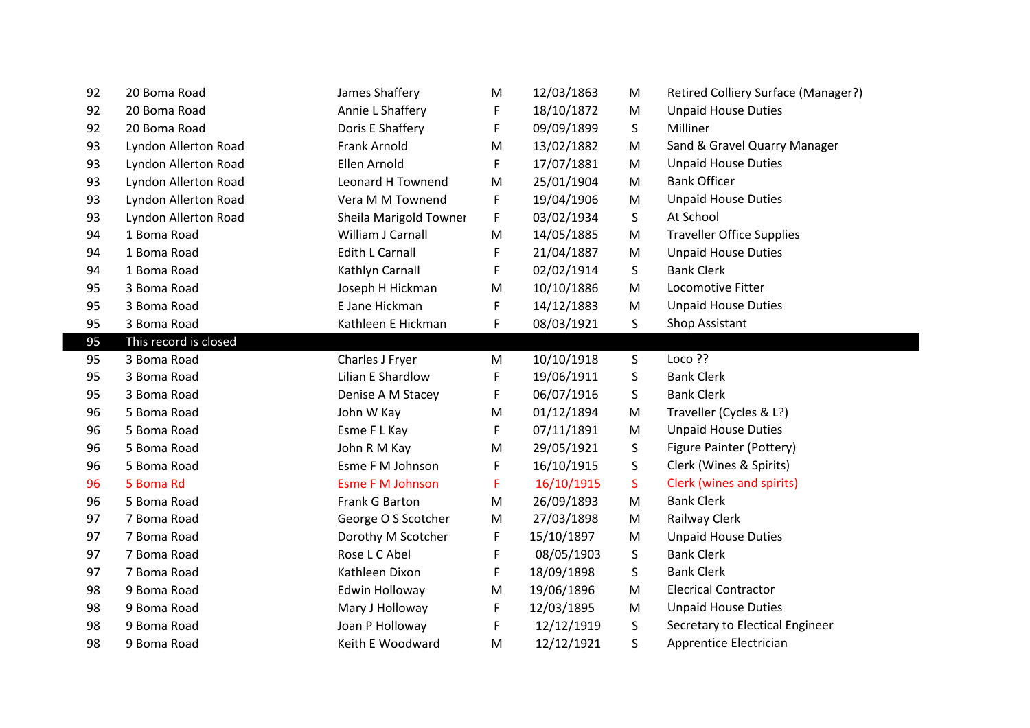| 92 | 20 Boma Road          | James Shaffery          | M  | 12/03/1863 | M  | Retired Colliery Surface (Manager?) |
|----|-----------------------|-------------------------|----|------------|----|-------------------------------------|
| 92 | 20 Boma Road          | Annie L Shaffery        | F. | 18/10/1872 | M  | <b>Unpaid House Duties</b>          |
| 92 | 20 Boma Road          | Doris E Shaffery        | F  | 09/09/1899 | S. | Milliner                            |
| 93 | Lyndon Allerton Road  | Frank Arnold            | M  | 13/02/1882 | M  | Sand & Gravel Quarry Manager        |
| 93 | Lyndon Allerton Road  | Ellen Arnold            | F  | 17/07/1881 | M  | <b>Unpaid House Duties</b>          |
| 93 | Lyndon Allerton Road  | Leonard H Townend       | M  | 25/01/1904 | M  | <b>Bank Officer</b>                 |
| 93 | Lyndon Allerton Road  | Vera M M Townend        | F  | 19/04/1906 | M  | <b>Unpaid House Duties</b>          |
| 93 | Lyndon Allerton Road  | Sheila Marigold Towner  | F  | 03/02/1934 | S  | At School                           |
| 94 | 1 Boma Road           | William J Carnall       | M  | 14/05/1885 | M  | <b>Traveller Office Supplies</b>    |
| 94 | 1 Boma Road           | <b>Edith L Carnall</b>  | F  | 21/04/1887 | M  | <b>Unpaid House Duties</b>          |
| 94 | 1 Boma Road           | Kathlyn Carnall         | F  | 02/02/1914 | S  | <b>Bank Clerk</b>                   |
| 95 | 3 Boma Road           | Joseph H Hickman        | M  | 10/10/1886 | M  | Locomotive Fitter                   |
| 95 | 3 Boma Road           | E Jane Hickman          | F  | 14/12/1883 | M  | <b>Unpaid House Duties</b>          |
| 95 | 3 Boma Road           | Kathleen E Hickman      | F  | 08/03/1921 | S. | Shop Assistant                      |
| 95 | This record is closed |                         |    |            |    |                                     |
| 95 | 3 Boma Road           | Charles J Fryer         | M  | 10/10/1918 | S  | Loco ??                             |
| 95 | 3 Boma Road           | Lilian E Shardlow       | F  | 19/06/1911 | S. | <b>Bank Clerk</b>                   |
| 95 | 3 Boma Road           | Denise A M Stacey       | F  | 06/07/1916 | S  | <b>Bank Clerk</b>                   |
| 96 | 5 Boma Road           | John W Kay              | M  | 01/12/1894 | M  | Traveller (Cycles & L?)             |
| 96 | 5 Boma Road           | Esme F L Kay            | F  | 07/11/1891 | M  | <b>Unpaid House Duties</b>          |
| 96 | 5 Boma Road           | John R M Kay            | M  | 29/05/1921 | S  | Figure Painter (Pottery)            |
| 96 | 5 Boma Road           | Esme F M Johnson        | F  | 16/10/1915 | S  | Clerk (Wines & Spirits)             |
| 96 | 5 Boma Rd             | <b>Esme F M Johnson</b> | F  | 16/10/1915 | S  | Clerk (wines and spirits)           |
| 96 | 5 Boma Road           | Frank G Barton          | M  | 26/09/1893 | M  | <b>Bank Clerk</b>                   |
| 97 | 7 Boma Road           | George O S Scotcher     | M  | 27/03/1898 | M  | Railway Clerk                       |
| 97 | 7 Boma Road           | Dorothy M Scotcher      | F  | 15/10/1897 | M  | <b>Unpaid House Duties</b>          |
| 97 | 7 Boma Road           | Rose L C Abel           | F  | 08/05/1903 | S  | <b>Bank Clerk</b>                   |
| 97 | 7 Boma Road           | Kathleen Dixon          | F  | 18/09/1898 | S  | <b>Bank Clerk</b>                   |
| 98 | 9 Boma Road           | Edwin Holloway          | M  | 19/06/1896 | M  | <b>Elecrical Contractor</b>         |
| 98 | 9 Boma Road           | Mary J Holloway         | F  | 12/03/1895 | M  | <b>Unpaid House Duties</b>          |
| 98 | 9 Boma Road           | Joan P Holloway         | F  | 12/12/1919 | S  | Secretary to Electical Engineer     |
| 98 | 9 Boma Road           | Keith E Woodward        | M  | 12/12/1921 | S  | Apprentice Electrician              |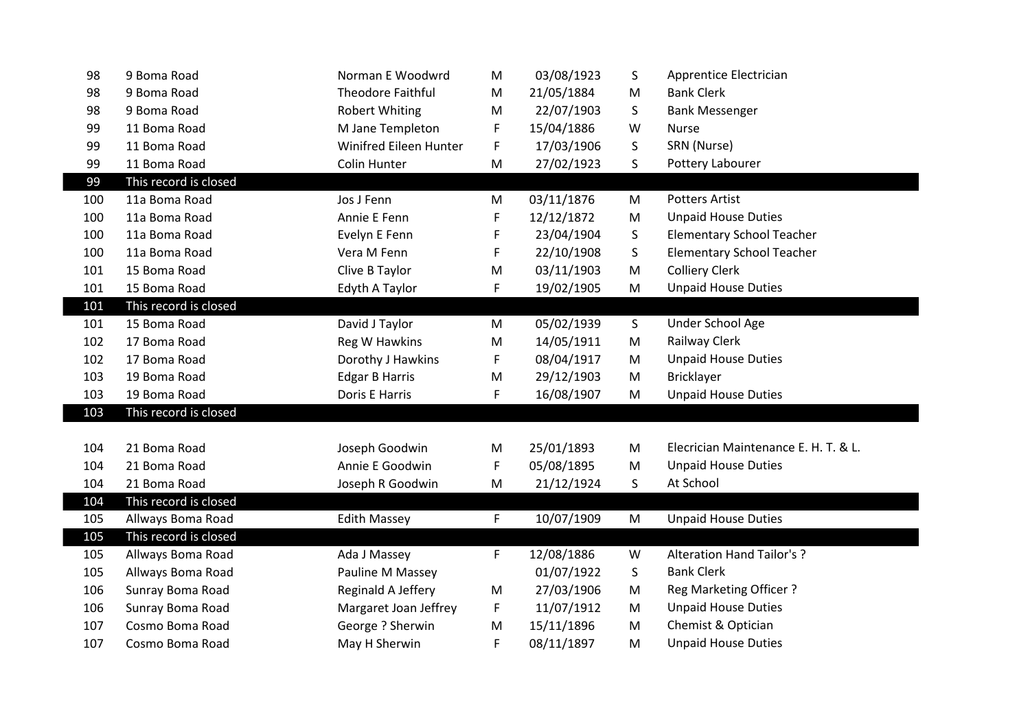| 98  | 9 Boma Road           | Norman E Woodwrd         | M | 03/08/1923 | S         | Apprentice Electrician               |
|-----|-----------------------|--------------------------|---|------------|-----------|--------------------------------------|
| 98  | 9 Boma Road           | <b>Theodore Faithful</b> | M | 21/05/1884 | M         | <b>Bank Clerk</b>                    |
| 98  | 9 Boma Road           | <b>Robert Whiting</b>    | M | 22/07/1903 | S         | <b>Bank Messenger</b>                |
| 99  | 11 Boma Road          | M Jane Templeton         | F | 15/04/1886 | W         | Nurse                                |
| 99  | 11 Boma Road          | Winifred Eileen Hunter   | F | 17/03/1906 | S         | SRN (Nurse)                          |
| 99  | 11 Boma Road          | Colin Hunter             | M | 27/02/1923 | S         | Pottery Labourer                     |
| 99  | This record is closed |                          |   |            |           |                                      |
| 100 | 11a Boma Road         | Jos J Fenn               | M | 03/11/1876 | M         | <b>Potters Artist</b>                |
| 100 | 11a Boma Road         | Annie E Fenn             | F | 12/12/1872 | M         | <b>Unpaid House Duties</b>           |
| 100 | 11a Boma Road         | Evelyn E Fenn            | F | 23/04/1904 | S         | <b>Elementary School Teacher</b>     |
| 100 | 11a Boma Road         | Vera M Fenn              | F | 22/10/1908 | S         | <b>Elementary School Teacher</b>     |
| 101 | 15 Boma Road          | Clive B Taylor           | M | 03/11/1903 | M         | <b>Colliery Clerk</b>                |
| 101 | 15 Boma Road          | Edyth A Taylor           | F | 19/02/1905 | M         | <b>Unpaid House Duties</b>           |
| 101 | This record is closed |                          |   |            |           |                                      |
| 101 | 15 Boma Road          | David J Taylor           | M | 05/02/1939 | S         | <b>Under School Age</b>              |
| 102 | 17 Boma Road          | <b>Reg W Hawkins</b>     | M | 14/05/1911 | M         | Railway Clerk                        |
| 102 | 17 Boma Road          | Dorothy J Hawkins        | F | 08/04/1917 | ${\sf M}$ | <b>Unpaid House Duties</b>           |
| 103 | 19 Boma Road          | <b>Edgar B Harris</b>    | M | 29/12/1903 | M         | <b>Bricklayer</b>                    |
| 103 | 19 Boma Road          | Doris E Harris           | F | 16/08/1907 | M         | <b>Unpaid House Duties</b>           |
| 103 | This record is closed |                          |   |            |           |                                      |
|     |                       |                          |   |            |           |                                      |
| 104 | 21 Boma Road          | Joseph Goodwin           | M | 25/01/1893 | ${\sf M}$ | Elecrician Maintenance E. H. T. & L. |
| 104 | 21 Boma Road          | Annie E Goodwin          | F | 05/08/1895 | M         | <b>Unpaid House Duties</b>           |
| 104 | 21 Boma Road          | Joseph R Goodwin         | M | 21/12/1924 | S         | At School                            |
| 104 | This record is closed |                          |   |            |           |                                      |
| 105 | Allways Boma Road     | <b>Edith Massey</b>      | F | 10/07/1909 | M         | <b>Unpaid House Duties</b>           |
| 105 | This record is closed |                          |   |            |           |                                      |
| 105 | Allways Boma Road     | Ada J Massey             | F | 12/08/1886 | W         | Alteration Hand Tailor's ?           |
| 105 | Allways Boma Road     | Pauline M Massey         |   | 01/07/1922 | S         | <b>Bank Clerk</b>                    |
| 106 | Sunray Boma Road      | Reginald A Jeffery       | M | 27/03/1906 | M         | Reg Marketing Officer ?              |
| 106 | Sunray Boma Road      | Margaret Joan Jeffrey    | F | 11/07/1912 | M         | <b>Unpaid House Duties</b>           |
| 107 | Cosmo Boma Road       | George ? Sherwin         | M | 15/11/1896 | ${\sf M}$ | Chemist & Optician                   |
| 107 | Cosmo Boma Road       | May H Sherwin            | F | 08/11/1897 | M         | <b>Unpaid House Duties</b>           |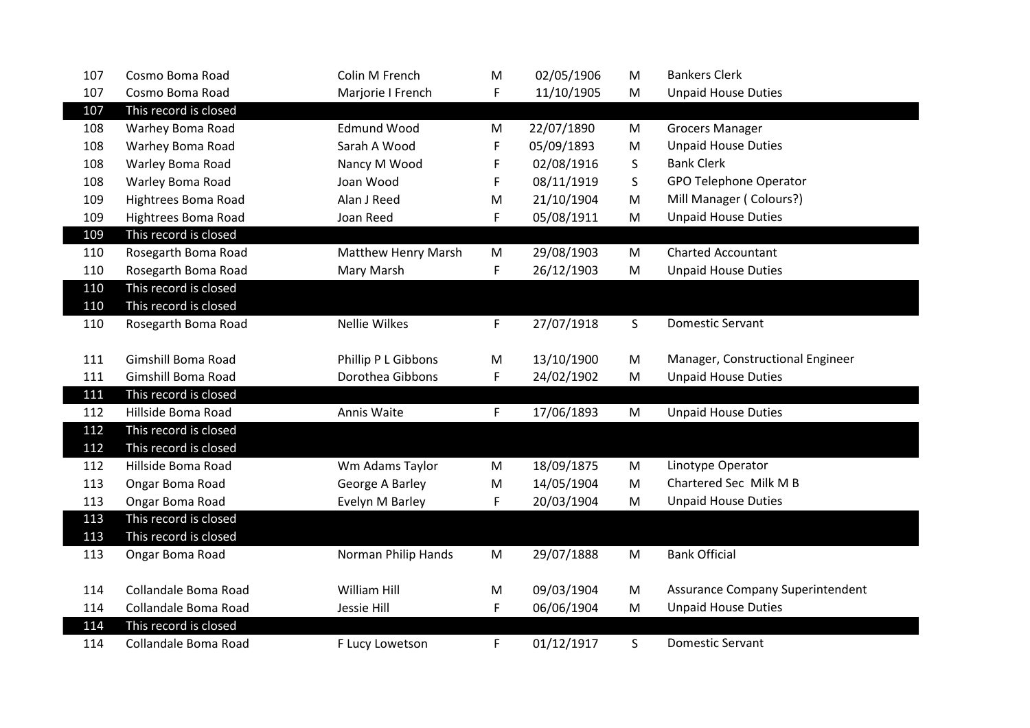| 107 | Cosmo Boma Road            | Colin M French             | M           | 02/05/1906 | M         | <b>Bankers Clerk</b>             |
|-----|----------------------------|----------------------------|-------------|------------|-----------|----------------------------------|
| 107 | Cosmo Boma Road            | Marjorie I French          | F           | 11/10/1905 | M         | <b>Unpaid House Duties</b>       |
| 107 | This record is closed      |                            |             |            |           |                                  |
| 108 | Warhey Boma Road           | <b>Edmund Wood</b>         | ${\sf M}$   | 22/07/1890 | M         | <b>Grocers Manager</b>           |
| 108 | Warhey Boma Road           | Sarah A Wood               | F           | 05/09/1893 | M         | <b>Unpaid House Duties</b>       |
| 108 | Warley Boma Road           | Nancy M Wood               | F           | 02/08/1916 | S         | <b>Bank Clerk</b>                |
| 108 | Warley Boma Road           | Joan Wood                  | F           | 08/11/1919 | S         | <b>GPO Telephone Operator</b>    |
| 109 | Hightrees Boma Road        | Alan J Reed                | M           | 21/10/1904 | ${\sf M}$ | Mill Manager (Colours?)          |
| 109 | <b>Hightrees Boma Road</b> | Joan Reed                  | F           | 05/08/1911 | M         | <b>Unpaid House Duties</b>       |
| 109 | This record is closed      |                            |             |            |           |                                  |
| 110 | Rosegarth Boma Road        | <b>Matthew Henry Marsh</b> | M           | 29/08/1903 | M         | <b>Charted Accountant</b>        |
| 110 | Rosegarth Boma Road        | Mary Marsh                 | F           | 26/12/1903 | M         | <b>Unpaid House Duties</b>       |
| 110 | This record is closed      |                            |             |            |           |                                  |
| 110 | This record is closed      |                            |             |            |           |                                  |
| 110 | Rosegarth Boma Road        | <b>Nellie Wilkes</b>       | $\mathsf F$ | 27/07/1918 | S         | <b>Domestic Servant</b>          |
|     |                            |                            |             |            |           |                                  |
| 111 | Gimshill Boma Road         | Phillip P L Gibbons        | M           | 13/10/1900 | M         | Manager, Constructional Engineer |
| 111 | Gimshill Boma Road         | Dorothea Gibbons           | F           | 24/02/1902 | ${\sf M}$ | <b>Unpaid House Duties</b>       |
| 111 | This record is closed      |                            |             |            |           |                                  |
| 112 | Hillside Boma Road         | Annis Waite                | F           | 17/06/1893 | M         | <b>Unpaid House Duties</b>       |
| 112 | This record is closed      |                            |             |            |           |                                  |
| 112 | This record is closed      |                            |             |            |           |                                  |
| 112 | Hillside Boma Road         | Wm Adams Taylor            | M           | 18/09/1875 | M         | Linotype Operator                |
| 113 | Ongar Boma Road            | George A Barley            | M           | 14/05/1904 | M         | Chartered Sec Milk M B           |
| 113 | Ongar Boma Road            | Evelyn M Barley            | F           | 20/03/1904 | M         | <b>Unpaid House Duties</b>       |
| 113 | This record is closed      |                            |             |            |           |                                  |
| 113 | This record is closed      |                            |             |            |           |                                  |
| 113 | Ongar Boma Road            | Norman Philip Hands        | M           | 29/07/1888 | M         | <b>Bank Official</b>             |
|     |                            |                            |             |            |           |                                  |
| 114 | Collandale Boma Road       | William Hill               | M           | 09/03/1904 | M         | Assurance Company Superintendent |
| 114 | Collandale Boma Road       | Jessie Hill                | F           | 06/06/1904 | M         | <b>Unpaid House Duties</b>       |
| 114 | This record is closed      |                            |             |            |           |                                  |
| 114 | Collandale Boma Road       | F Lucy Lowetson            | F           | 01/12/1917 | S         | <b>Domestic Servant</b>          |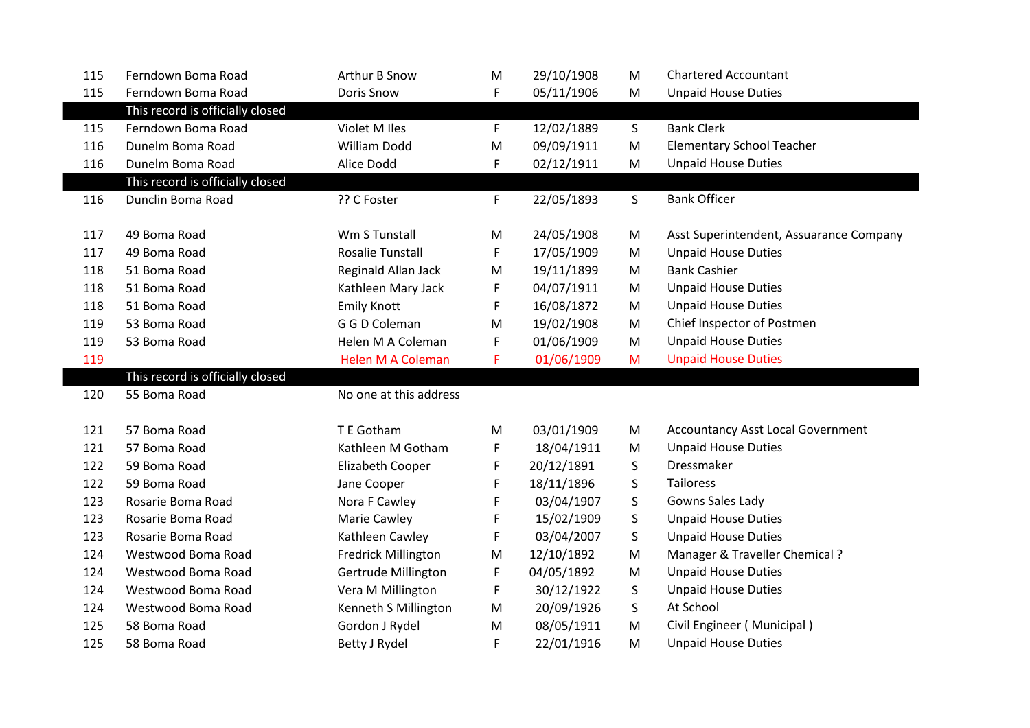| 115 | Ferndown Boma Road               | Arthur B Snow            | M  | 29/10/1908 | M            | <b>Chartered Accountant</b>              |
|-----|----------------------------------|--------------------------|----|------------|--------------|------------------------------------------|
| 115 | Ferndown Boma Road               | Doris Snow               | F  | 05/11/1906 | M            | <b>Unpaid House Duties</b>               |
|     | This record is officially closed |                          |    |            |              |                                          |
| 115 | Ferndown Boma Road               | Violet M Iles            | F. | 12/02/1889 | S            | <b>Bank Clerk</b>                        |
| 116 | Dunelm Boma Road                 | William Dodd             | M  | 09/09/1911 | M            | <b>Elementary School Teacher</b>         |
| 116 | Dunelm Boma Road                 | Alice Dodd               | F  | 02/12/1911 | M            | <b>Unpaid House Duties</b>               |
|     | This record is officially closed |                          |    |            |              |                                          |
| 116 | Dunclin Boma Road                | ?? C Foster              | F  | 22/05/1893 | $\mathsf{S}$ | <b>Bank Officer</b>                      |
|     |                                  |                          |    |            |              |                                          |
| 117 | 49 Boma Road                     | Wm S Tunstall            | M  | 24/05/1908 | M            | Asst Superintendent, Assuarance Company  |
| 117 | 49 Boma Road                     | <b>Rosalie Tunstall</b>  | F  | 17/05/1909 | M            | <b>Unpaid House Duties</b>               |
| 118 | 51 Boma Road                     | Reginald Allan Jack      | M  | 19/11/1899 | M            | <b>Bank Cashier</b>                      |
| 118 | 51 Boma Road                     | Kathleen Mary Jack       | F  | 04/07/1911 | M            | <b>Unpaid House Duties</b>               |
| 118 | 51 Boma Road                     | <b>Emily Knott</b>       | F  | 16/08/1872 | M            | <b>Unpaid House Duties</b>               |
| 119 | 53 Boma Road                     | G G D Coleman            | M  | 19/02/1908 | M            | Chief Inspector of Postmen               |
| 119 | 53 Boma Road                     | Helen M A Coleman        | F  | 01/06/1909 | M            | <b>Unpaid House Duties</b>               |
| 119 |                                  | <b>Helen M A Coleman</b> | F  | 01/06/1909 | M            | <b>Unpaid House Duties</b>               |
|     | This record is officially closed |                          |    |            |              |                                          |
| 120 | 55 Boma Road                     | No one at this address   |    |            |              |                                          |
|     |                                  |                          |    |            |              |                                          |
| 121 | 57 Boma Road                     | T E Gotham               | M  | 03/01/1909 | M            | <b>Accountancy Asst Local Government</b> |
| 121 | 57 Boma Road                     |                          |    |            |              |                                          |
|     |                                  | Kathleen M Gotham        | F  | 18/04/1911 | M            | <b>Unpaid House Duties</b>               |
| 122 | 59 Boma Road                     | Elizabeth Cooper         | F  | 20/12/1891 | S            | Dressmaker                               |
| 122 | 59 Boma Road                     | Jane Cooper              | F  | 18/11/1896 | S            | Tailoress                                |
| 123 | Rosarie Boma Road                | Nora F Cawley            | F  | 03/04/1907 | S            | Gowns Sales Lady                         |
| 123 | Rosarie Boma Road                | Marie Cawley             | F  | 15/02/1909 | S            | <b>Unpaid House Duties</b>               |
| 123 | Rosarie Boma Road                | Kathleen Cawley          | F  | 03/04/2007 | S            | <b>Unpaid House Duties</b>               |
| 124 | Westwood Boma Road               | Fredrick Millington      | M  | 12/10/1892 | M            | Manager & Traveller Chemical?            |
| 124 | Westwood Boma Road               | Gertrude Millington      | F  | 04/05/1892 | M            | <b>Unpaid House Duties</b>               |
| 124 | Westwood Boma Road               | Vera M Millington        | F  | 30/12/1922 | S            | <b>Unpaid House Duties</b>               |
| 124 | Westwood Boma Road               | Kenneth S Millington     | M  | 20/09/1926 | S            | At School                                |
| 125 | 58 Boma Road                     | Gordon J Rydel           | M  | 08/05/1911 | M            | Civil Engineer (Municipal)               |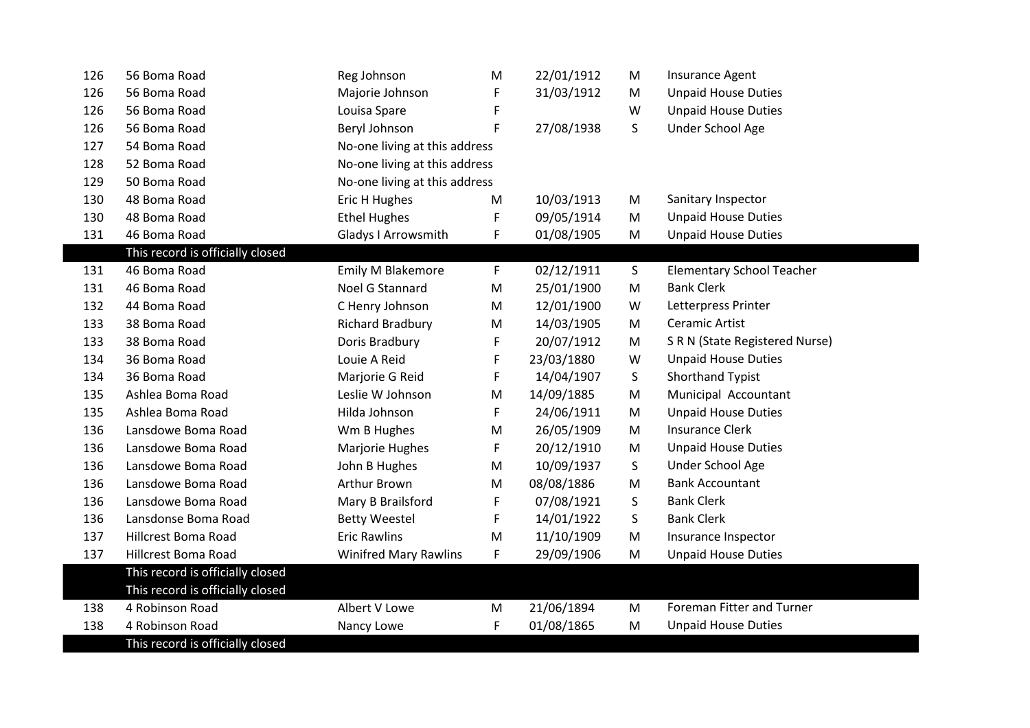| 126 | 56 Boma Road                     | Reg Johnson                   | M | 22/01/1912 | M | Insurance Agent                  |
|-----|----------------------------------|-------------------------------|---|------------|---|----------------------------------|
| 126 | 56 Boma Road                     | Majorie Johnson               | F | 31/03/1912 | M | <b>Unpaid House Duties</b>       |
| 126 | 56 Boma Road                     | Louisa Spare                  |   |            | W | <b>Unpaid House Duties</b>       |
| 126 | 56 Boma Road                     | Beryl Johnson                 | F | 27/08/1938 | S | Under School Age                 |
| 127 | 54 Boma Road                     | No-one living at this address |   |            |   |                                  |
| 128 | 52 Boma Road                     | No-one living at this address |   |            |   |                                  |
| 129 | 50 Boma Road                     | No-one living at this address |   |            |   |                                  |
| 130 | 48 Boma Road                     | <b>Eric H Hughes</b>          | M | 10/03/1913 | M | Sanitary Inspector               |
| 130 | 48 Boma Road                     | <b>Ethel Hughes</b>           | F | 09/05/1914 | M | <b>Unpaid House Duties</b>       |
| 131 | 46 Boma Road                     | Gladys I Arrowsmith           | F | 01/08/1905 | M | <b>Unpaid House Duties</b>       |
|     | This record is officially closed |                               |   |            |   |                                  |
| 131 | 46 Boma Road                     | Emily M Blakemore             | F | 02/12/1911 | S | <b>Elementary School Teacher</b> |
| 131 | 46 Boma Road                     | Noel G Stannard               | M | 25/01/1900 | M | <b>Bank Clerk</b>                |
| 132 | 44 Boma Road                     | C Henry Johnson               | M | 12/01/1900 | W | Letterpress Printer              |
| 133 | 38 Boma Road                     | <b>Richard Bradbury</b>       | M | 14/03/1905 | M | Ceramic Artist                   |
| 133 | 38 Boma Road                     | Doris Bradbury                | F | 20/07/1912 | M | S R N (State Registered Nurse)   |
| 134 | 36 Boma Road                     | Louie A Reid                  | F | 23/03/1880 | W | <b>Unpaid House Duties</b>       |
| 134 | 36 Boma Road                     | Marjorie G Reid               | F | 14/04/1907 | S | Shorthand Typist                 |
| 135 | Ashlea Boma Road                 | Leslie W Johnson              | M | 14/09/1885 | M | Municipal Accountant             |
| 135 | Ashlea Boma Road                 | Hilda Johnson                 | F | 24/06/1911 | M | <b>Unpaid House Duties</b>       |
| 136 | Lansdowe Boma Road               | Wm B Hughes                   | M | 26/05/1909 | M | <b>Insurance Clerk</b>           |
| 136 | Lansdowe Boma Road               | Marjorie Hughes               | F | 20/12/1910 | M | <b>Unpaid House Duties</b>       |
| 136 | Lansdowe Boma Road               | John B Hughes                 | M | 10/09/1937 | S | Under School Age                 |
| 136 | Lansdowe Boma Road               | Arthur Brown                  | M | 08/08/1886 | M | <b>Bank Accountant</b>           |
| 136 | Lansdowe Boma Road               | Mary B Brailsford             | F | 07/08/1921 | S | <b>Bank Clerk</b>                |
| 136 | Lansdonse Boma Road              | <b>Betty Weestel</b>          | F | 14/01/1922 | S | <b>Bank Clerk</b>                |
| 137 | <b>Hillcrest Boma Road</b>       | <b>Eric Rawlins</b>           | M | 11/10/1909 | M | Insurance Inspector              |
| 137 | <b>Hillcrest Boma Road</b>       | <b>Winifred Mary Rawlins</b>  | F | 29/09/1906 | M | <b>Unpaid House Duties</b>       |
|     | This record is officially closed |                               |   |            |   |                                  |
|     | This record is officially closed |                               |   |            |   |                                  |
| 138 | 4 Robinson Road                  | Albert V Lowe                 | M | 21/06/1894 | M | Foreman Fitter and Turner        |
| 138 | 4 Robinson Road                  | Nancy Lowe                    | F | 01/08/1865 | M | <b>Unpaid House Duties</b>       |
|     | This record is officially closed |                               |   |            |   |                                  |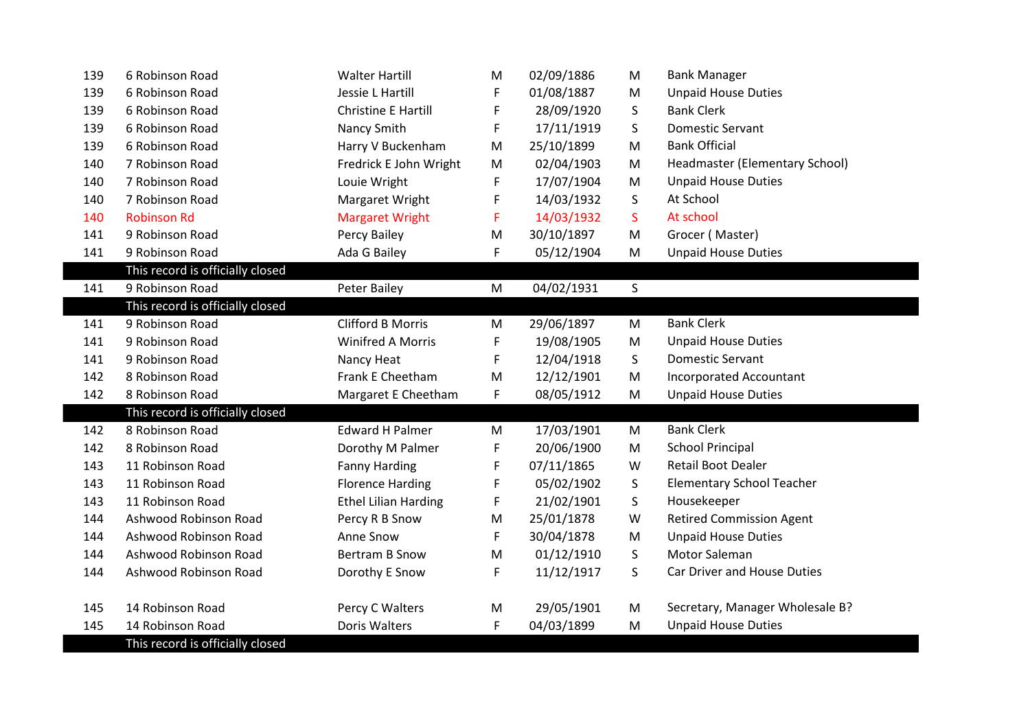| 139 | 6 Robinson Road                  | <b>Walter Hartill</b>       | M | 02/09/1886 | M            | <b>Bank Manager</b>              |
|-----|----------------------------------|-----------------------------|---|------------|--------------|----------------------------------|
| 139 | 6 Robinson Road                  | Jessie L Hartill            | F | 01/08/1887 | ${\sf M}$    | <b>Unpaid House Duties</b>       |
| 139 | 6 Robinson Road                  | <b>Christine E Hartill</b>  | F | 28/09/1920 | S            | <b>Bank Clerk</b>                |
| 139 | 6 Robinson Road                  | Nancy Smith                 | F | 17/11/1919 | $\sf S$      | <b>Domestic Servant</b>          |
| 139 | 6 Robinson Road                  | Harry V Buckenham           | M | 25/10/1899 | M            | <b>Bank Official</b>             |
| 140 | 7 Robinson Road                  | Fredrick E John Wright      | M | 02/04/1903 | ${\sf M}$    | Headmaster (Elementary School)   |
| 140 | 7 Robinson Road                  | Louie Wright                | F | 17/07/1904 | ${\sf M}$    | <b>Unpaid House Duties</b>       |
| 140 | 7 Robinson Road                  | Margaret Wright             | F | 14/03/1932 | S            | At School                        |
| 140 | <b>Robinson Rd</b>               | <b>Margaret Wright</b>      | F | 14/03/1932 | <sub>S</sub> | At school                        |
| 141 | 9 Robinson Road                  | Percy Bailey                | M | 30/10/1897 | ${\sf M}$    | Grocer (Master)                  |
| 141 | 9 Robinson Road                  | Ada G Bailey                | F | 05/12/1904 | M            | <b>Unpaid House Duties</b>       |
|     | This record is officially closed |                             |   |            |              |                                  |
| 141 | 9 Robinson Road                  | Peter Bailey                | M | 04/02/1931 | S            |                                  |
|     | This record is officially closed |                             |   |            |              |                                  |
| 141 | 9 Robinson Road                  | <b>Clifford B Morris</b>    | M | 29/06/1897 | M            | <b>Bank Clerk</b>                |
| 141 | 9 Robinson Road                  | <b>Winifred A Morris</b>    | F | 19/08/1905 | ${\sf M}$    | <b>Unpaid House Duties</b>       |
| 141 | 9 Robinson Road                  | Nancy Heat                  | F | 12/04/1918 | S            | <b>Domestic Servant</b>          |
| 142 | 8 Robinson Road                  | Frank E Cheetham            | M | 12/12/1901 | M            | <b>Incorporated Accountant</b>   |
| 142 | 8 Robinson Road                  | Margaret E Cheetham         | F | 08/05/1912 | M            | <b>Unpaid House Duties</b>       |
|     | This record is officially closed |                             |   |            |              |                                  |
| 142 | 8 Robinson Road                  | <b>Edward H Palmer</b>      | M | 17/03/1901 | ${\sf M}$    | <b>Bank Clerk</b>                |
| 142 | 8 Robinson Road                  | Dorothy M Palmer            | F | 20/06/1900 | M            | <b>School Principal</b>          |
| 143 | 11 Robinson Road                 | <b>Fanny Harding</b>        | F | 07/11/1865 | W            | <b>Retail Boot Dealer</b>        |
| 143 | 11 Robinson Road                 | <b>Florence Harding</b>     | F | 05/02/1902 | S            | <b>Elementary School Teacher</b> |
| 143 | 11 Robinson Road                 | <b>Ethel Lilian Harding</b> | F | 21/02/1901 | S            | Housekeeper                      |
| 144 | Ashwood Robinson Road            | Percy R B Snow              | M | 25/01/1878 | W            | <b>Retired Commission Agent</b>  |
| 144 | Ashwood Robinson Road            | Anne Snow                   | F | 30/04/1878 | M            | <b>Unpaid House Duties</b>       |
| 144 | Ashwood Robinson Road            | <b>Bertram B Snow</b>       | M | 01/12/1910 | S            | Motor Saleman                    |
| 144 | Ashwood Robinson Road            | Dorothy E Snow              | F | 11/12/1917 | S            | Car Driver and House Duties      |
|     |                                  |                             |   |            |              |                                  |
| 145 | 14 Robinson Road                 | Percy C Walters             | M | 29/05/1901 | M            | Secretary, Manager Wholesale B?  |
| 145 | 14 Robinson Road                 | Doris Walters               | F | 04/03/1899 | ${\sf M}$    | <b>Unpaid House Duties</b>       |
|     | This record is officially closed |                             |   |            |              |                                  |

Г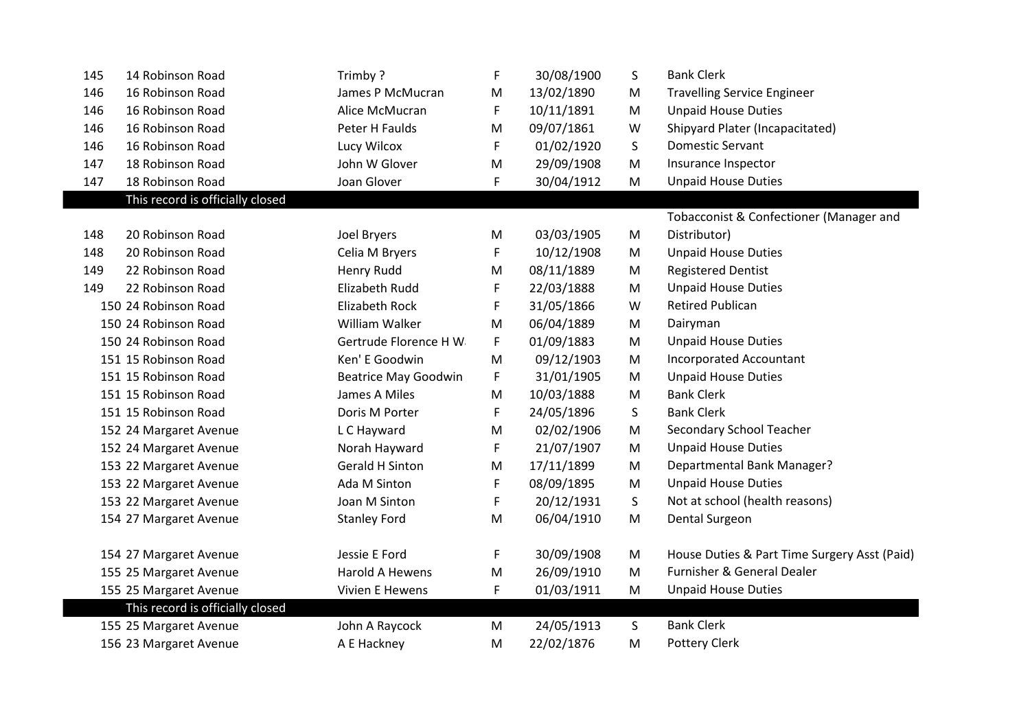| 145 | 14 Robinson Road                 | Trimby?                     | F           | 30/08/1900 | S         | <b>Bank Clerk</b>                            |
|-----|----------------------------------|-----------------------------|-------------|------------|-----------|----------------------------------------------|
| 146 | 16 Robinson Road                 | James P McMucran            | M           | 13/02/1890 | M         | <b>Travelling Service Engineer</b>           |
| 146 | 16 Robinson Road                 | Alice McMucran              | F           | 10/11/1891 | ${\sf M}$ | <b>Unpaid House Duties</b>                   |
| 146 | 16 Robinson Road                 | Peter H Faulds              | M           | 09/07/1861 | W         | Shipyard Plater (Incapacitated)              |
| 146 | 16 Robinson Road                 | Lucy Wilcox                 | F           | 01/02/1920 | S         | <b>Domestic Servant</b>                      |
| 147 | 18 Robinson Road                 | John W Glover               | M           | 29/09/1908 | M         | Insurance Inspector                          |
| 147 | 18 Robinson Road                 | Joan Glover                 | F           | 30/04/1912 | M         | <b>Unpaid House Duties</b>                   |
|     | This record is officially closed |                             |             |            |           |                                              |
|     |                                  |                             |             |            |           | Tobacconist & Confectioner (Manager and      |
| 148 | 20 Robinson Road                 | Joel Bryers                 | M           | 03/03/1905 | M         | Distributor)                                 |
| 148 | 20 Robinson Road                 | Celia M Bryers              | F           | 10/12/1908 | M         | <b>Unpaid House Duties</b>                   |
| 149 | 22 Robinson Road                 | Henry Rudd                  | M           | 08/11/1889 | ${\sf M}$ | <b>Registered Dentist</b>                    |
| 149 | 22 Robinson Road                 | <b>Elizabeth Rudd</b>       | F           | 22/03/1888 | M         | <b>Unpaid House Duties</b>                   |
|     | 150 24 Robinson Road             | <b>Elizabeth Rock</b>       | F           | 31/05/1866 | W         | <b>Retired Publican</b>                      |
|     | 150 24 Robinson Road             | William Walker              | M           | 06/04/1889 | M         | Dairyman                                     |
|     | 150 24 Robinson Road             | Gertrude Florence H W       | F           | 01/09/1883 | M         | <b>Unpaid House Duties</b>                   |
|     | 151 15 Robinson Road             | Ken' E Goodwin              | M           | 09/12/1903 | ${\sf M}$ | <b>Incorporated Accountant</b>               |
|     | 151 15 Robinson Road             | <b>Beatrice May Goodwin</b> | $\mathsf F$ | 31/01/1905 | M         | <b>Unpaid House Duties</b>                   |
|     | 151 15 Robinson Road             | James A Miles               | M           | 10/03/1888 | M         | <b>Bank Clerk</b>                            |
|     | 151 15 Robinson Road             | Doris M Porter              | F           | 24/05/1896 | S         | <b>Bank Clerk</b>                            |
|     | 152 24 Margaret Avenue           | L C Hayward                 | M           | 02/02/1906 | M         | Secondary School Teacher                     |
|     | 152 24 Margaret Avenue           | Norah Hayward               | F           | 21/07/1907 | M         | <b>Unpaid House Duties</b>                   |
|     | 153 22 Margaret Avenue           | <b>Gerald H Sinton</b>      | M           | 17/11/1899 | M         | Departmental Bank Manager?                   |
|     | 153 22 Margaret Avenue           | Ada M Sinton                | F           | 08/09/1895 | ${\sf M}$ | <b>Unpaid House Duties</b>                   |
|     | 153 22 Margaret Avenue           | Joan M Sinton               | F           | 20/12/1931 | S         | Not at school (health reasons)               |
|     | 154 27 Margaret Avenue           | <b>Stanley Ford</b>         | M           | 06/04/1910 | M         | Dental Surgeon                               |
|     | 154 27 Margaret Avenue           | Jessie E Ford               | F           | 30/09/1908 | M         | House Duties & Part Time Surgery Asst (Paid) |
|     | 155 25 Margaret Avenue           | <b>Harold A Hewens</b>      | M           | 26/09/1910 | M         | Furnisher & General Dealer                   |
|     | 155 25 Margaret Avenue           | Vivien E Hewens             | F.          | 01/03/1911 | M         | <b>Unpaid House Duties</b>                   |
|     | This record is officially closed |                             |             |            |           |                                              |
|     | 155 25 Margaret Avenue           | John A Raycock              | M           | 24/05/1913 | S.        | <b>Bank Clerk</b>                            |
|     | 156 23 Margaret Avenue           | A E Hackney                 | M           | 22/02/1876 | M         | Pottery Clerk                                |
|     |                                  |                             |             |            |           |                                              |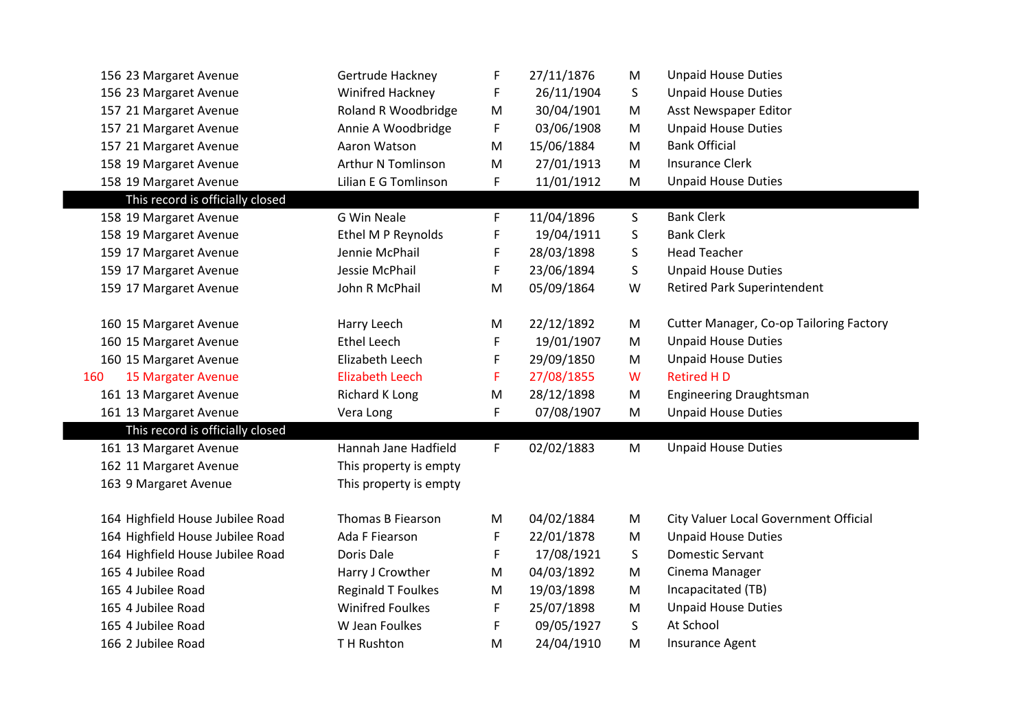| 156 23 Margaret Avenue           | Gertrude Hackney          | F | 27/11/1876 | M  | <b>Unpaid House Duties</b>                     |
|----------------------------------|---------------------------|---|------------|----|------------------------------------------------|
| 156 23 Margaret Avenue           | Winifred Hackney          | F | 26/11/1904 | S. | <b>Unpaid House Duties</b>                     |
| 157 21 Margaret Avenue           | Roland R Woodbridge       | M | 30/04/1901 | M  | Asst Newspaper Editor                          |
| 157 21 Margaret Avenue           | Annie A Woodbridge        | F | 03/06/1908 | M  | <b>Unpaid House Duties</b>                     |
| 157 21 Margaret Avenue           | Aaron Watson              | M | 15/06/1884 | M  | <b>Bank Official</b>                           |
| 158 19 Margaret Avenue           | Arthur N Tomlinson        | M | 27/01/1913 | M  | <b>Insurance Clerk</b>                         |
| 158 19 Margaret Avenue           | Lilian E G Tomlinson      | F | 11/01/1912 | м  | <b>Unpaid House Duties</b>                     |
| This record is officially closed |                           |   |            |    |                                                |
| 158 19 Margaret Avenue           | <b>G Win Neale</b>        | F | 11/04/1896 | S  | <b>Bank Clerk</b>                              |
| 158 19 Margaret Avenue           | Ethel M P Reynolds        | F | 19/04/1911 | S. | <b>Bank Clerk</b>                              |
| 159 17 Margaret Avenue           | Jennie McPhail            | F | 28/03/1898 | S. | <b>Head Teacher</b>                            |
| 159 17 Margaret Avenue           | Jessie McPhail            | F | 23/06/1894 | S  | <b>Unpaid House Duties</b>                     |
| 159 17 Margaret Avenue           | John R McPhail            | M | 05/09/1864 | W  | Retired Park Superintendent                    |
|                                  |                           |   |            |    |                                                |
| 160 15 Margaret Avenue           | Harry Leech               | M | 22/12/1892 | M  | <b>Cutter Manager, Co-op Tailoring Factory</b> |
| 160 15 Margaret Avenue           | <b>Ethel Leech</b>        | F | 19/01/1907 | M  | <b>Unpaid House Duties</b>                     |
| 160 15 Margaret Avenue           | Elizabeth Leech           | F | 29/09/1850 | M  | <b>Unpaid House Duties</b>                     |
| 15 Margater Avenue<br>160        | <b>Elizabeth Leech</b>    | F | 27/08/1855 | W  | <b>Retired HD</b>                              |
| 161 13 Margaret Avenue           | Richard K Long            | M | 28/12/1898 | M  | <b>Engineering Draughtsman</b>                 |
| 161 13 Margaret Avenue           | Vera Long                 | F | 07/08/1907 | M  | <b>Unpaid House Duties</b>                     |
| This record is officially closed |                           |   |            |    |                                                |
| 161 13 Margaret Avenue           | Hannah Jane Hadfield      | F | 02/02/1883 | M  | <b>Unpaid House Duties</b>                     |
| 162 11 Margaret Avenue           | This property is empty    |   |            |    |                                                |
| 163 9 Margaret Avenue            | This property is empty    |   |            |    |                                                |
|                                  |                           |   |            |    |                                                |
| 164 Highfield House Jubilee Road | <b>Thomas B Fiearson</b>  | M | 04/02/1884 | M  | City Valuer Local Government Official          |
| 164 Highfield House Jubilee Road | Ada F Fiearson            | F | 22/01/1878 | M  | <b>Unpaid House Duties</b>                     |
| 164 Highfield House Jubilee Road | Doris Dale                | F | 17/08/1921 | S. | <b>Domestic Servant</b>                        |
| 165 4 Jubilee Road               | Harry J Crowther          | M | 04/03/1892 | M  | Cinema Manager                                 |
| 165 4 Jubilee Road               | <b>Reginald T Foulkes</b> | M | 19/03/1898 | M  | Incapacitated (TB)                             |
| 165 4 Jubilee Road               | <b>Winifred Foulkes</b>   | F | 25/07/1898 | M  | <b>Unpaid House Duties</b>                     |
| 165 4 Jubilee Road               | W Jean Foulkes            | F | 09/05/1927 | S. | At School                                      |
| 166 2 Jubilee Road               | T H Rushton               | M | 24/04/1910 | M  | Insurance Agent                                |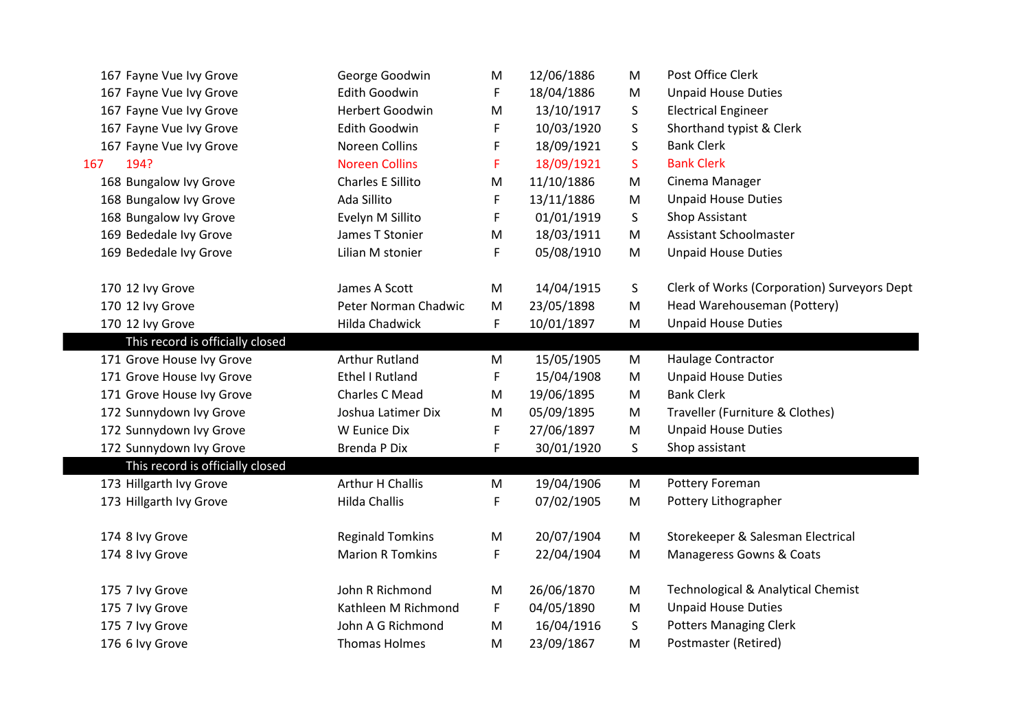|     | 167 Fayne Vue Ivy Grove          | George Goodwin          | M | 12/06/1886 | M         | Post Office Clerk                           |
|-----|----------------------------------|-------------------------|---|------------|-----------|---------------------------------------------|
|     | 167 Fayne Vue Ivy Grove          | Edith Goodwin           | F | 18/04/1886 | M         | <b>Unpaid House Duties</b>                  |
|     | 167 Fayne Vue Ivy Grove          | <b>Herbert Goodwin</b>  | M | 13/10/1917 | S.        | <b>Electrical Engineer</b>                  |
|     | 167 Fayne Vue Ivy Grove          | Edith Goodwin           | F | 10/03/1920 | S         | Shorthand typist & Clerk                    |
|     | 167 Fayne Vue Ivy Grove          | Noreen Collins          | F | 18/09/1921 | S         | <b>Bank Clerk</b>                           |
| 167 | 194?                             | <b>Noreen Collins</b>   | F | 18/09/1921 | S.        | <b>Bank Clerk</b>                           |
|     | 168 Bungalow Ivy Grove           | Charles E Sillito       | M | 11/10/1886 | ${\sf M}$ | Cinema Manager                              |
|     | 168 Bungalow Ivy Grove           | Ada Sillito             | F | 13/11/1886 | M         | <b>Unpaid House Duties</b>                  |
|     | 168 Bungalow Ivy Grove           | Evelyn M Sillito        | F | 01/01/1919 | S         | Shop Assistant                              |
|     | 169 Bededale Ivy Grove           | James T Stonier         | M | 18/03/1911 | M         | Assistant Schoolmaster                      |
|     | 169 Bededale Ivy Grove           | Lilian M stonier        | F | 05/08/1910 | M         | <b>Unpaid House Duties</b>                  |
|     | 170 12 Ivy Grove                 | James A Scott           | M | 14/04/1915 | S         | Clerk of Works (Corporation) Surveyors Dept |
|     | 170 12 Ivy Grove                 | Peter Norman Chadwic    | M | 23/05/1898 | M         | Head Warehouseman (Pottery)                 |
|     | 170 12 Ivy Grove                 | Hilda Chadwick          | F | 10/01/1897 | M         | <b>Unpaid House Duties</b>                  |
|     | This record is officially closed |                         |   |            |           |                                             |
|     | 171 Grove House Ivy Grove        | <b>Arthur Rutland</b>   | M | 15/05/1905 | M         | Haulage Contractor                          |
|     | 171 Grove House Ivy Grove        | Ethel I Rutland         | F | 15/04/1908 | M         | <b>Unpaid House Duties</b>                  |
|     | 171 Grove House Ivy Grove        | Charles C Mead          | M | 19/06/1895 | M         | <b>Bank Clerk</b>                           |
|     | 172 Sunnydown Ivy Grove          | Joshua Latimer Dix      | M | 05/09/1895 | M         | Traveller (Furniture & Clothes)             |
|     | 172 Sunnydown Ivy Grove          | W Eunice Dix            | F | 27/06/1897 | M         | <b>Unpaid House Duties</b>                  |
|     | 172 Sunnydown Ivy Grove          | <b>Brenda P Dix</b>     | F | 30/01/1920 | S         | Shop assistant                              |
|     | This record is officially closed |                         |   |            |           |                                             |
|     | 173 Hillgarth Ivy Grove          | Arthur H Challis        | M | 19/04/1906 | M         | Pottery Foreman                             |
|     | 173 Hillgarth Ivy Grove          | <b>Hilda Challis</b>    | F | 07/02/1905 | M         | Pottery Lithographer                        |
|     | 174 8 Ivy Grove                  | <b>Reginald Tomkins</b> | M | 20/07/1904 | M         | Storekeeper & Salesman Electrical           |
|     | 174 8 Ivy Grove                  | <b>Marion R Tomkins</b> | F | 22/04/1904 | M         | Manageress Gowns & Coats                    |
|     | 175 7 Ivy Grove                  | John R Richmond         | M | 26/06/1870 | M         | Technological & Analytical Chemist          |
|     | 175 7 Ivy Grove                  | Kathleen M Richmond     | F | 04/05/1890 | M         | <b>Unpaid House Duties</b>                  |
|     | 175 7 Ivy Grove                  | John A G Richmond       | M | 16/04/1916 | S         | <b>Potters Managing Clerk</b>               |
|     | 176 6 Ivy Grove                  | <b>Thomas Holmes</b>    | M | 23/09/1867 | M         | Postmaster (Retired)                        |
|     |                                  |                         |   |            |           |                                             |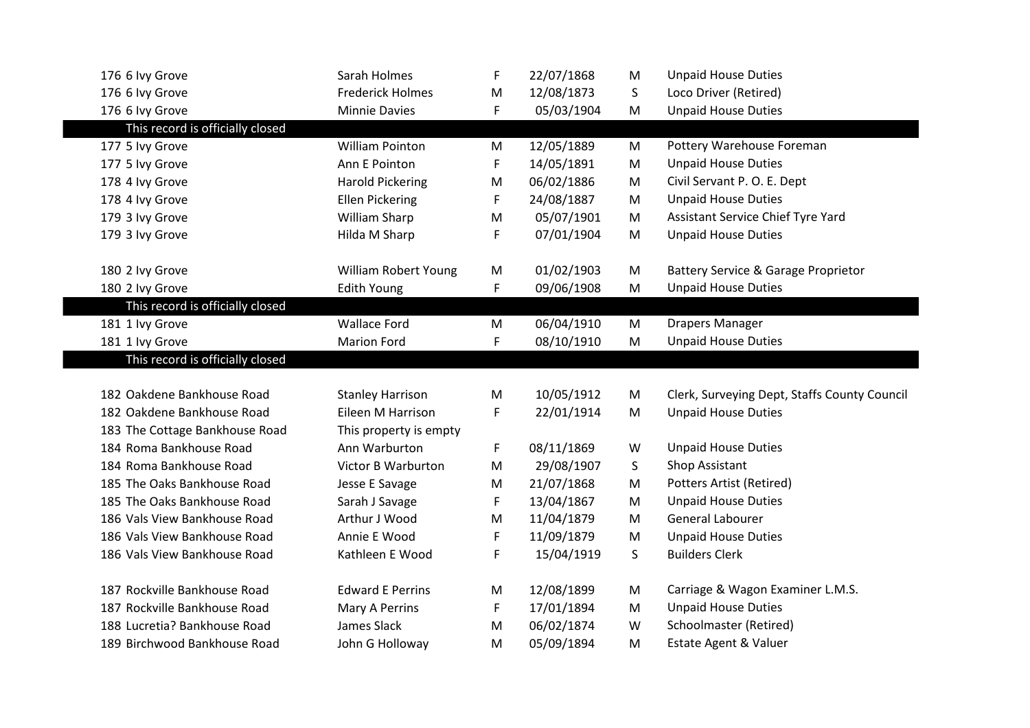| 176 6 Ivy Grove                                              | Sarah Holmes                   | F      | 22/07/1868               | M      | <b>Unpaid House Duties</b>                      |
|--------------------------------------------------------------|--------------------------------|--------|--------------------------|--------|-------------------------------------------------|
| 176 6 Ivy Grove                                              | <b>Frederick Holmes</b>        | M      | 12/08/1873               | S      | Loco Driver (Retired)                           |
| 176 6 Ivy Grove                                              | <b>Minnie Davies</b>           | F      | 05/03/1904               | M      | <b>Unpaid House Duties</b>                      |
| This record is officially closed                             |                                |        |                          |        |                                                 |
| 177 5 Ivy Grove                                              | <b>William Pointon</b>         | M      | 12/05/1889               | M      | Pottery Warehouse Foreman                       |
| 177 5 Ivy Grove                                              | Ann E Pointon                  | F      | 14/05/1891               | M      | <b>Unpaid House Duties</b>                      |
| 178 4 Ivy Grove                                              | <b>Harold Pickering</b>        | M      | 06/02/1886               | M      | Civil Servant P.O. E. Dept                      |
| 178 4 Ivy Grove                                              | <b>Ellen Pickering</b>         | F      | 24/08/1887               | M      | <b>Unpaid House Duties</b>                      |
| 179 3 Ivy Grove                                              | William Sharp                  | M      | 05/07/1901               | M      | Assistant Service Chief Tyre Yard               |
| 179 3 Ivy Grove                                              | Hilda M Sharp                  | F      | 07/01/1904               | M      | <b>Unpaid House Duties</b>                      |
|                                                              |                                |        |                          |        |                                                 |
| 180 2 lvy Grove                                              | <b>William Robert Young</b>    | M      | 01/02/1903               | M      | Battery Service & Garage Proprietor             |
| 180 2 lvy Grove                                              | Edith Young                    | F      | 09/06/1908               | M      | <b>Unpaid House Duties</b>                      |
| This record is officially closed                             |                                |        |                          |        |                                                 |
| 181 1 Ivy Grove                                              | <b>Wallace Ford</b>            | M      | 06/04/1910               | M      | <b>Drapers Manager</b>                          |
| 181 1 Ivy Grove                                              | <b>Marion Ford</b>             | F      | 08/10/1910               | M      | <b>Unpaid House Duties</b>                      |
| This record is officially closed                             |                                |        |                          |        |                                                 |
|                                                              |                                |        |                          |        |                                                 |
| 182 Oakdene Bankhouse Road                                   | <b>Stanley Harrison</b>        | M      | 10/05/1912               | M      | Clerk, Surveying Dept, Staffs County Council    |
| 182 Oakdene Bankhouse Road                                   | Eileen M Harrison              | F      | 22/01/1914               | M      | <b>Unpaid House Duties</b>                      |
| 183 The Cottage Bankhouse Road                               | This property is empty         |        |                          |        |                                                 |
| 184 Roma Bankhouse Road                                      | Ann Warburton                  | F      | 08/11/1869               | W      | <b>Unpaid House Duties</b>                      |
| 184 Roma Bankhouse Road                                      | Victor B Warburton             | M      | 29/08/1907               | S      | Shop Assistant                                  |
| 185 The Oaks Bankhouse Road                                  | Jesse E Savage                 | M      | 21/07/1868               | M      | <b>Potters Artist (Retired)</b>                 |
|                                                              |                                |        |                          |        |                                                 |
| 185 The Oaks Bankhouse Road                                  | Sarah J Savage                 | F      | 13/04/1867               | M      | <b>Unpaid House Duties</b>                      |
| 186 Vals View Bankhouse Road                                 | Arthur J Wood                  | M      | 11/04/1879               | M      | General Labourer                                |
| 186 Vals View Bankhouse Road                                 | Annie E Wood                   | F      | 11/09/1879               | M      | <b>Unpaid House Duties</b>                      |
| 186 Vals View Bankhouse Road                                 | Kathleen E Wood                | F      | 15/04/1919               | S      | <b>Builders Clerk</b>                           |
|                                                              |                                |        |                          |        |                                                 |
| 187 Rockville Bankhouse Road                                 | <b>Edward E Perrins</b>        | M      | 12/08/1899               | M      | Carriage & Wagon Examiner L.M.S.                |
| 187 Rockville Bankhouse Road                                 | Mary A Perrins                 | F      | 17/01/1894               | M      | <b>Unpaid House Duties</b>                      |
| 188 Lucretia? Bankhouse Road<br>189 Birchwood Bankhouse Road | James Slack<br>John G Holloway | M<br>M | 06/02/1874<br>05/09/1894 | W<br>M | Schoolmaster (Retired)<br>Estate Agent & Valuer |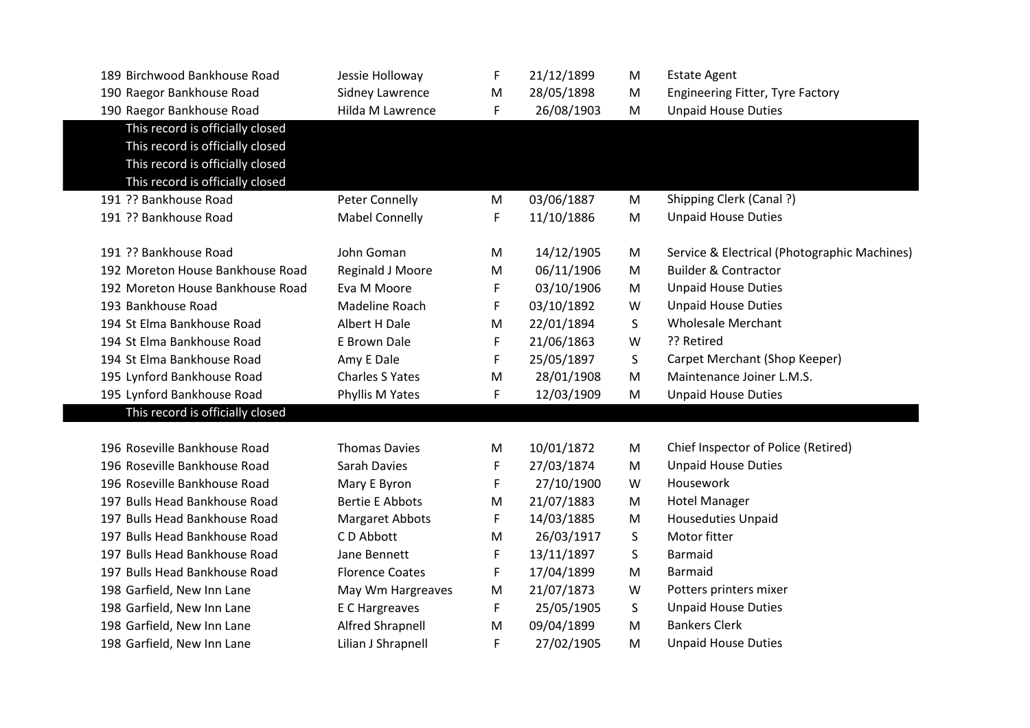| 189 Birchwood Bankhouse Road     | Jessie Holloway         | F. | 21/12/1899 | M         | <b>Estate Agent</b>                          |
|----------------------------------|-------------------------|----|------------|-----------|----------------------------------------------|
| 190 Raegor Bankhouse Road        | Sidney Lawrence         | M  | 28/05/1898 | M         | <b>Engineering Fitter, Tyre Factory</b>      |
| 190 Raegor Bankhouse Road        | Hilda M Lawrence        | F  | 26/08/1903 | M         | <b>Unpaid House Duties</b>                   |
| This record is officially closed |                         |    |            |           |                                              |
| This record is officially closed |                         |    |            |           |                                              |
| This record is officially closed |                         |    |            |           |                                              |
| This record is officially closed |                         |    |            |           |                                              |
| 191 ?? Bankhouse Road            | Peter Connelly          | M  | 03/06/1887 | M         | Shipping Clerk (Canal?)                      |
| 191 ?? Bankhouse Road            | <b>Mabel Connelly</b>   | F. | 11/10/1886 | M         | <b>Unpaid House Duties</b>                   |
| 191 ?? Bankhouse Road            | John Goman              | M  | 14/12/1905 | M         | Service & Electrical (Photographic Machines) |
| 192 Moreton House Bankhouse Road | Reginald J Moore        | M  | 06/11/1906 | M         | <b>Builder &amp; Contractor</b>              |
| 192 Moreton House Bankhouse Road | Eva M Moore             | F  | 03/10/1906 | M         | <b>Unpaid House Duties</b>                   |
| 193 Bankhouse Road               | Madeline Roach          | F  | 03/10/1892 | W         | <b>Unpaid House Duties</b>                   |
| 194 St Elma Bankhouse Road       | Albert H Dale           | M  | 22/01/1894 | S         | <b>Wholesale Merchant</b>                    |
| 194 St Elma Bankhouse Road       | E Brown Dale            | F. | 21/06/1863 | W         | ?? Retired                                   |
| 194 St Elma Bankhouse Road       | Amy E Dale              | F  | 25/05/1897 | S         | Carpet Merchant (Shop Keeper)                |
| 195 Lynford Bankhouse Road       | <b>Charles S Yates</b>  | M  | 28/01/1908 | M         | Maintenance Joiner L.M.S.                    |
| 195 Lynford Bankhouse Road       | Phyllis M Yates         | F. | 12/03/1909 | M         | <b>Unpaid House Duties</b>                   |
| This record is officially closed |                         |    |            |           |                                              |
| 196 Roseville Bankhouse Road     | <b>Thomas Davies</b>    | M  | 10/01/1872 | M         | Chief Inspector of Police (Retired)          |
| 196 Roseville Bankhouse Road     | Sarah Davies            | F  | 27/03/1874 | M         | <b>Unpaid House Duties</b>                   |
| 196 Roseville Bankhouse Road     | Mary E Byron            | F  | 27/10/1900 | W         | Housework                                    |
| 197 Bulls Head Bankhouse Road    | <b>Bertie E Abbots</b>  | M  | 21/07/1883 | ${\sf M}$ | <b>Hotel Manager</b>                         |
| 197 Bulls Head Bankhouse Road    | Margaret Abbots         | F  | 14/03/1885 | M         | <b>Houseduties Unpaid</b>                    |
| 197 Bulls Head Bankhouse Road    | C D Abbott              | M  | 26/03/1917 | S         | Motor fitter                                 |
| 197 Bulls Head Bankhouse Road    | Jane Bennett            | F  | 13/11/1897 | S         | <b>Barmaid</b>                               |
| 197 Bulls Head Bankhouse Road    | <b>Florence Coates</b>  | F  | 17/04/1899 | M         | <b>Barmaid</b>                               |
| 198 Garfield, New Inn Lane       | May Wm Hargreaves       | M  | 21/07/1873 | W         | Potters printers mixer                       |
| 198 Garfield, New Inn Lane       | E C Hargreaves          | F. | 25/05/1905 | S         | <b>Unpaid House Duties</b>                   |
| 198 Garfield, New Inn Lane       | <b>Alfred Shrapnell</b> | M  | 09/04/1899 | M         | <b>Bankers Clerk</b>                         |
| 198 Garfield, New Inn Lane       | Lilian J Shrapnell      | F  | 27/02/1905 | M         | <b>Unpaid House Duties</b>                   |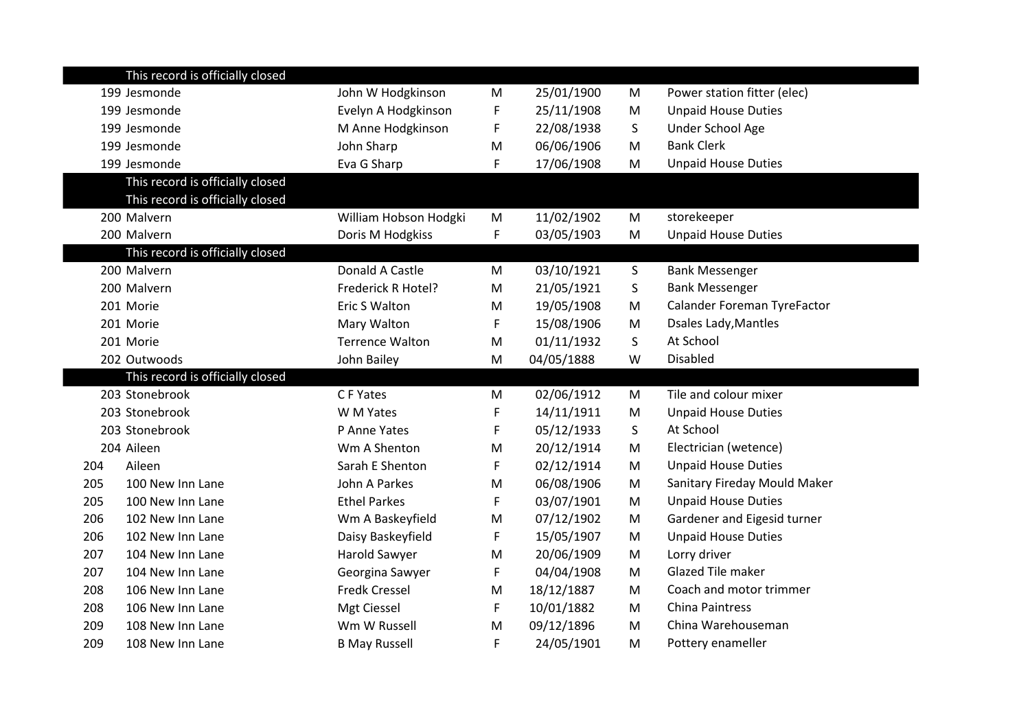|     | This record is officially closed |                        |   |            |             |                              |
|-----|----------------------------------|------------------------|---|------------|-------------|------------------------------|
|     | 199 Jesmonde                     | John W Hodgkinson      | M | 25/01/1900 | ${\sf M}$   | Power station fitter (elec)  |
|     | 199 Jesmonde                     | Evelyn A Hodgkinson    | F | 25/11/1908 | M           | <b>Unpaid House Duties</b>   |
|     | 199 Jesmonde                     | M Anne Hodgkinson      | F | 22/08/1938 | S           | Under School Age             |
|     | 199 Jesmonde                     | John Sharp             | M | 06/06/1906 | M           | <b>Bank Clerk</b>            |
|     | 199 Jesmonde                     | Eva G Sharp            | F | 17/06/1908 | ${\sf M}$   | <b>Unpaid House Duties</b>   |
|     | This record is officially closed |                        |   |            |             |                              |
|     | This record is officially closed |                        |   |            |             |                              |
|     | 200 Malvern                      | William Hobson Hodgki  | M | 11/02/1902 | M           | storekeeper                  |
|     | 200 Malvern                      | Doris M Hodgkiss       | F | 03/05/1903 | ${\sf M}$   | <b>Unpaid House Duties</b>   |
|     | This record is officially closed |                        |   |            |             |                              |
|     | 200 Malvern                      | Donald A Castle        | M | 03/10/1921 | S           | <b>Bank Messenger</b>        |
|     | 200 Malvern                      | Frederick R Hotel?     | M | 21/05/1921 | S           | <b>Bank Messenger</b>        |
|     | 201 Morie                        | <b>Eric S Walton</b>   | M | 19/05/1908 | M           | Calander Foreman TyreFactor  |
|     | 201 Morie                        | Mary Walton            | F | 15/08/1906 | M           | <b>Dsales Lady, Mantles</b>  |
|     | 201 Morie                        | <b>Terrence Walton</b> | M | 01/11/1932 | S           | At School                    |
|     | 202 Outwoods                     | John Bailey            | M | 04/05/1888 | W           | Disabled                     |
|     | This record is officially closed |                        |   |            |             |                              |
|     | 203 Stonebrook                   | C F Yates              | M | 02/06/1912 | ${\sf M}$   | Tile and colour mixer        |
|     | 203 Stonebrook                   | W M Yates              | F | 14/11/1911 | ${\sf M}$   | <b>Unpaid House Duties</b>   |
|     | 203 Stonebrook                   | P Anne Yates           | F | 05/12/1933 | $\mathsf S$ | At School                    |
|     | 204 Aileen                       | Wm A Shenton           | M | 20/12/1914 | M           | Electrician (wetence)        |
| 204 | Aileen                           | Sarah E Shenton        | F | 02/12/1914 | ${\sf M}$   | <b>Unpaid House Duties</b>   |
| 205 | 100 New Inn Lane                 | John A Parkes          | M | 06/08/1906 | ${\sf M}$   | Sanitary Fireday Mould Maker |
| 205 | 100 New Inn Lane                 | <b>Ethel Parkes</b>    | F | 03/07/1901 | M           | <b>Unpaid House Duties</b>   |
| 206 | 102 New Inn Lane                 | Wm A Baskeyfield       | M | 07/12/1902 | M           | Gardener and Eigesid turner  |
| 206 | 102 New Inn Lane                 | Daisy Baskeyfield      | F | 15/05/1907 | ${\sf M}$   | <b>Unpaid House Duties</b>   |
| 207 | 104 New Inn Lane                 | Harold Sawyer          | M | 20/06/1909 | M           | Lorry driver                 |
| 207 | 104 New Inn Lane                 | Georgina Sawyer        | F | 04/04/1908 | ${\sf M}$   | <b>Glazed Tile maker</b>     |
| 208 | 106 New Inn Lane                 | <b>Fredk Cressel</b>   | M | 18/12/1887 | M           | Coach and motor trimmer      |
| 208 | 106 New Inn Lane                 | Mgt Ciessel            | F | 10/01/1882 | M           | <b>China Paintress</b>       |
| 209 | 108 New Inn Lane                 | Wm W Russell           | M | 09/12/1896 | ${\sf M}$   | China Warehouseman           |
| 209 | 108 New Inn Lane                 | <b>B May Russell</b>   | F | 24/05/1901 | M           | Pottery enameller            |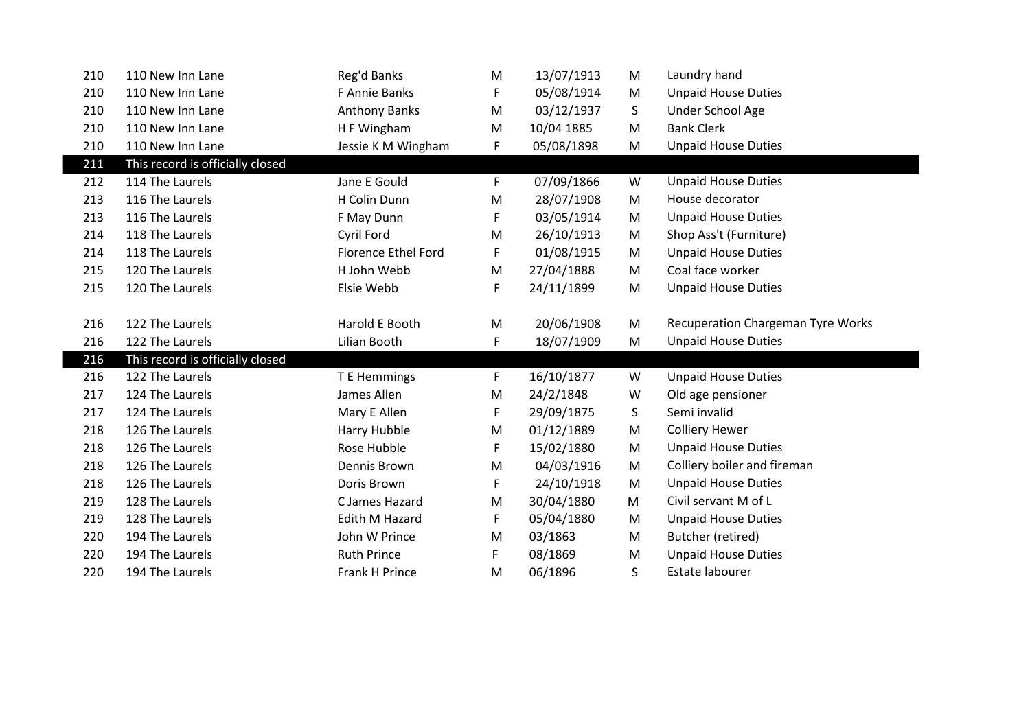| 210 | 110 New Inn Lane                 | Reg'd Banks          | M  | 13/07/1913 | M | Laundry hand                             |
|-----|----------------------------------|----------------------|----|------------|---|------------------------------------------|
| 210 | 110 New Inn Lane                 | F Annie Banks        | F  | 05/08/1914 | M | <b>Unpaid House Duties</b>               |
| 210 | 110 New Inn Lane                 | <b>Anthony Banks</b> | M  | 03/12/1937 | S | Under School Age                         |
| 210 | 110 New Inn Lane                 | H F Wingham          | M  | 10/04 1885 | M | <b>Bank Clerk</b>                        |
| 210 | 110 New Inn Lane                 | Jessie K M Wingham   | F  | 05/08/1898 | M | <b>Unpaid House Duties</b>               |
| 211 | This record is officially closed |                      |    |            |   |                                          |
| 212 | 114 The Laurels                  | Jane E Gould         | F. | 07/09/1866 | W | <b>Unpaid House Duties</b>               |
| 213 | 116 The Laurels                  | H Colin Dunn         | M  | 28/07/1908 | M | House decorator                          |
| 213 | 116 The Laurels                  | F May Dunn           | F  | 03/05/1914 | M | <b>Unpaid House Duties</b>               |
| 214 | 118 The Laurels                  | Cyril Ford           | M  | 26/10/1913 | M | Shop Ass't (Furniture)                   |
| 214 | 118 The Laurels                  | Florence Ethel Ford  | F. | 01/08/1915 | M | <b>Unpaid House Duties</b>               |
| 215 | 120 The Laurels                  | H John Webb          | M  | 27/04/1888 | M | Coal face worker                         |
| 215 | 120 The Laurels                  | Elsie Webb           | F  | 24/11/1899 | M | <b>Unpaid House Duties</b>               |
|     |                                  |                      |    |            |   |                                          |
| 216 | 122 The Laurels                  | Harold E Booth       | M  | 20/06/1908 | M | <b>Recuperation Chargeman Tyre Works</b> |
| 216 | 122 The Laurels                  | Lilian Booth         | F  | 18/07/1909 | M | <b>Unpaid House Duties</b>               |
| 216 | This record is officially closed |                      |    |            |   |                                          |
| 216 | 122 The Laurels                  | T E Hemmings         | F. | 16/10/1877 | W | <b>Unpaid House Duties</b>               |
| 217 | 124 The Laurels                  | James Allen          | M  | 24/2/1848  | W | Old age pensioner                        |
| 217 | 124 The Laurels                  | Mary E Allen         | F  | 29/09/1875 | S | Semi invalid                             |
| 218 | 126 The Laurels                  | Harry Hubble         | M  | 01/12/1889 | M | <b>Colliery Hewer</b>                    |
| 218 | 126 The Laurels                  | Rose Hubble          | F  | 15/02/1880 | M | <b>Unpaid House Duties</b>               |
| 218 | 126 The Laurels                  | Dennis Brown         | M  | 04/03/1916 | M | Colliery boiler and fireman              |
| 218 | 126 The Laurels                  | Doris Brown          | F  | 24/10/1918 | M | <b>Unpaid House Duties</b>               |
| 219 | 128 The Laurels                  | C James Hazard       | M  | 30/04/1880 | M | Civil servant M of L                     |
| 219 | 128 The Laurels                  | Edith M Hazard       | F  | 05/04/1880 | M | <b>Unpaid House Duties</b>               |
| 220 | 194 The Laurels                  | John W Prince        | M  | 03/1863    | M | Butcher (retired)                        |
| 220 | 194 The Laurels                  | <b>Ruth Prince</b>   | F  | 08/1869    | M | <b>Unpaid House Duties</b>               |
| 220 | 194 The Laurels                  | Frank H Prince       | M  | 06/1896    | S | Estate labourer                          |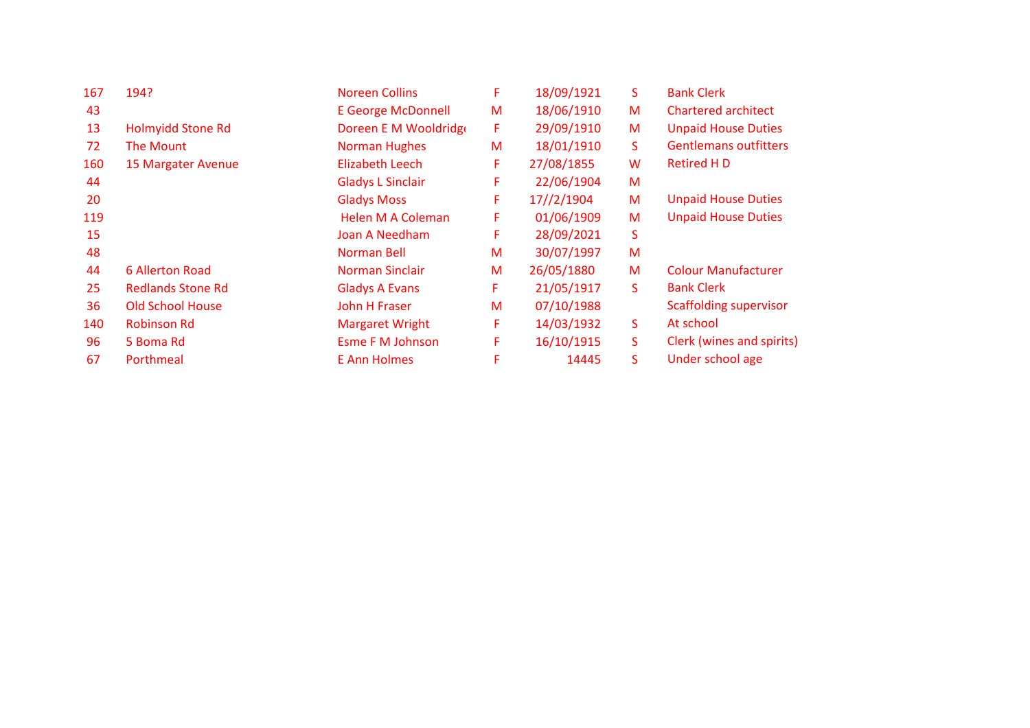| 167 | 194?                      | <b>Noreen Collins</b>     | F | 18/09/1921 | S. | <b>Bank Clerk</b>             |
|-----|---------------------------|---------------------------|---|------------|----|-------------------------------|
| 43  |                           | <b>E George McDonnell</b> | M | 18/06/1910 | M  | Chartered architect           |
| 13  | <b>Holmyidd Stone Rd</b>  | Doreen E M Wooldridge     | F | 29/09/1910 | M  | <b>Unpaid House Duties</b>    |
| 72  | The Mount                 | <b>Norman Hughes</b>      | M | 18/01/1910 | S  | <b>Gentlemans outfitters</b>  |
| 160 | <b>15 Margater Avenue</b> | Elizabeth Leech           | F | 27/08/1855 | W  | <b>Retired HD</b>             |
| 44  |                           | <b>Gladys L Sinclair</b>  | F | 22/06/1904 | M  |                               |
| 20  |                           | <b>Gladys Moss</b>        | F | 17//2/1904 | M  | <b>Unpaid House Duties</b>    |
| 119 |                           | Helen M A Coleman         | F | 01/06/1909 | M  | <b>Unpaid House Duties</b>    |
| 15  |                           | Joan A Needham            | F | 28/09/2021 | S. |                               |
| 48  |                           | Norman Bell               | M | 30/07/1997 | M  |                               |
| 44  | <b>6 Allerton Road</b>    | <b>Norman Sinclair</b>    | M | 26/05/1880 | M  | <b>Colour Manufacturer</b>    |
| 25  | <b>Redlands Stone Rd</b>  | <b>Gladys A Evans</b>     | F | 21/05/1917 | S. | <b>Bank Clerk</b>             |
| 36  | <b>Old School House</b>   | John H Fraser             | M | 07/10/1988 |    | <b>Scaffolding supervisor</b> |
| 140 | Robinson Rd               | <b>Margaret Wright</b>    | F | 14/03/1932 | S. | At school                     |
| 96  | 5 Boma Rd                 | <b>Esme F M Johnson</b>   | F | 16/10/1915 | S. | Clerk (wines and spirits)     |
| 67  | Porthmeal                 | <b>E Ann Holmes</b>       | F | 14445      | S. | Under school age              |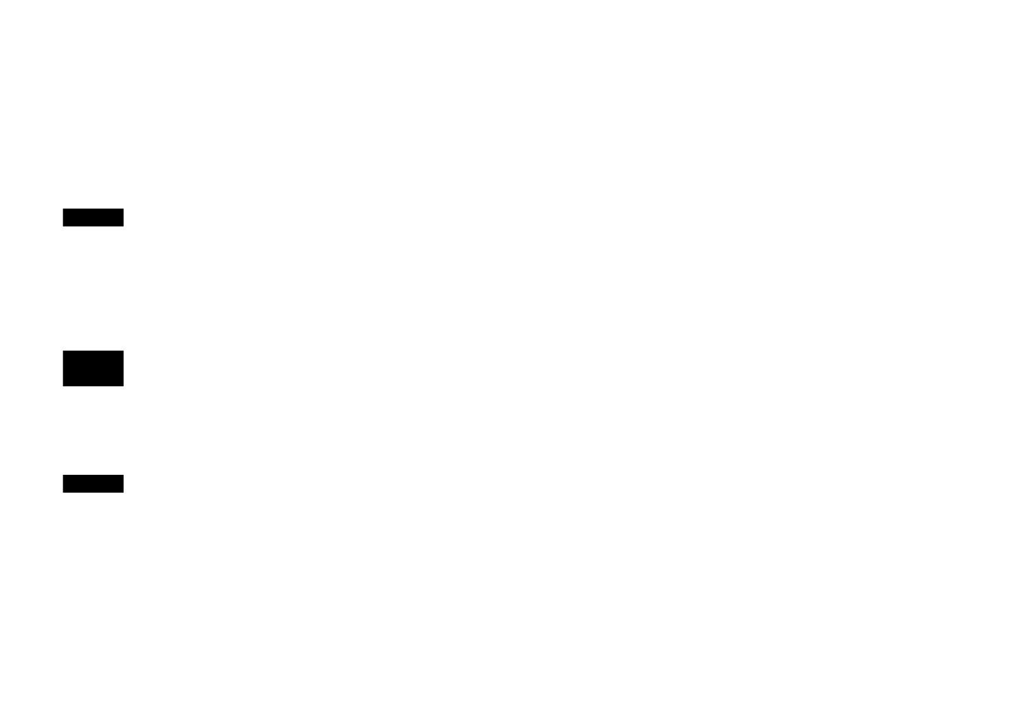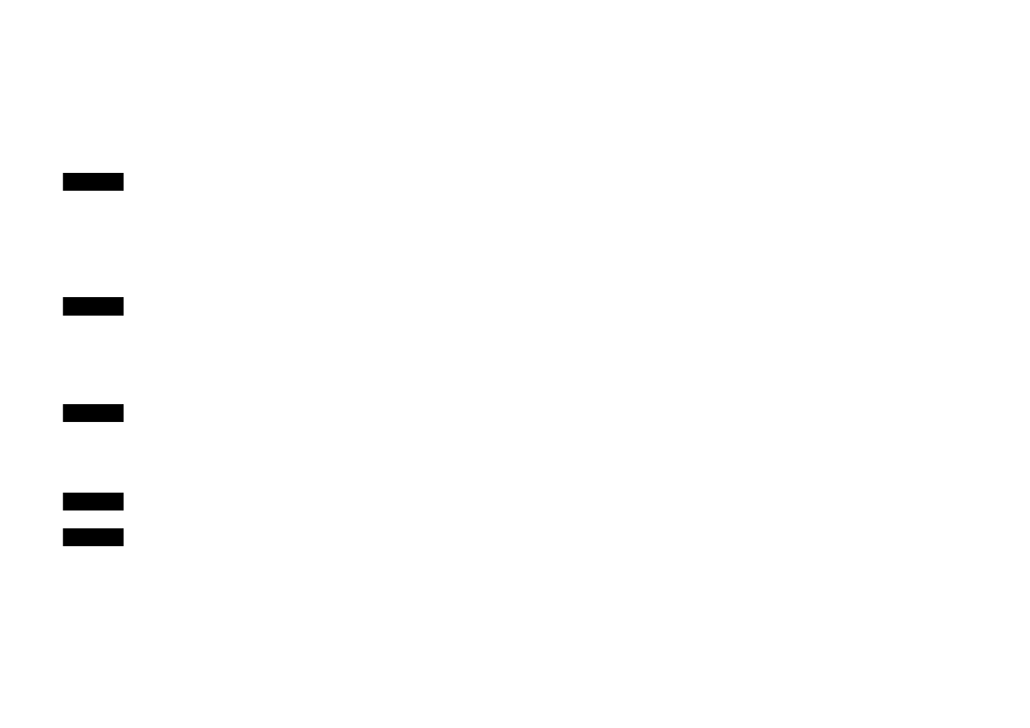$\overline{1}$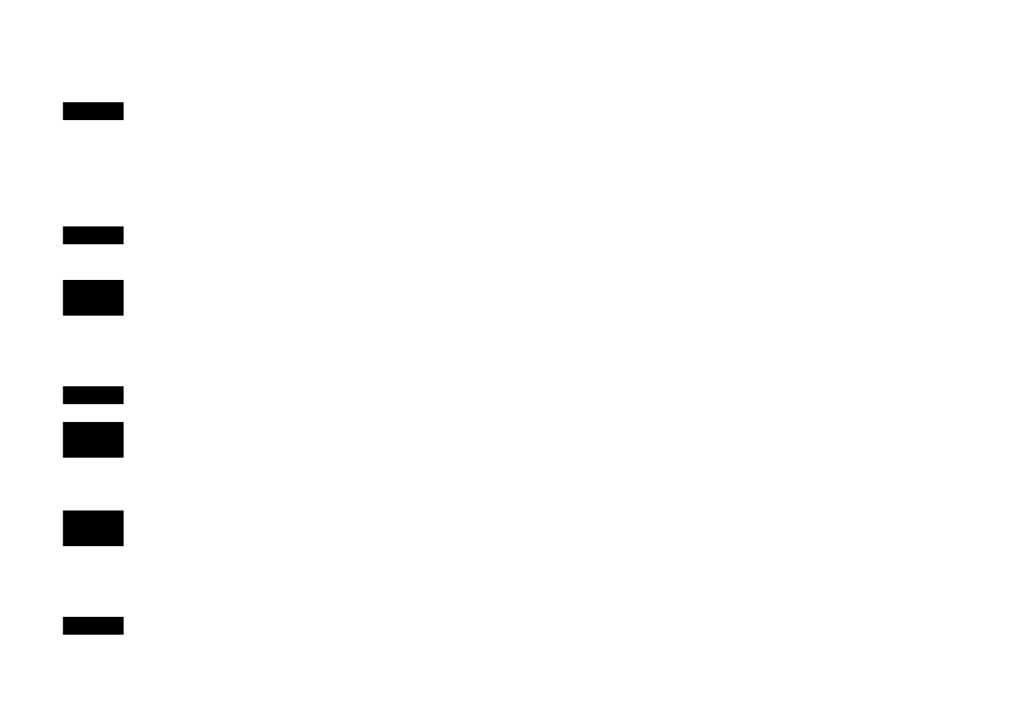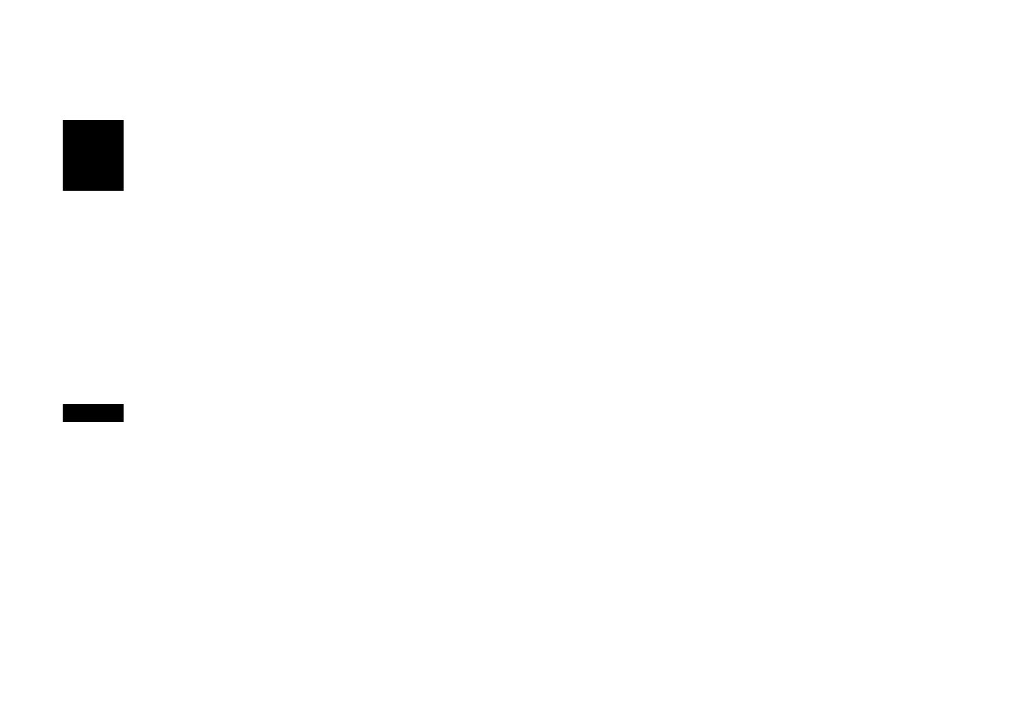$\blacksquare$